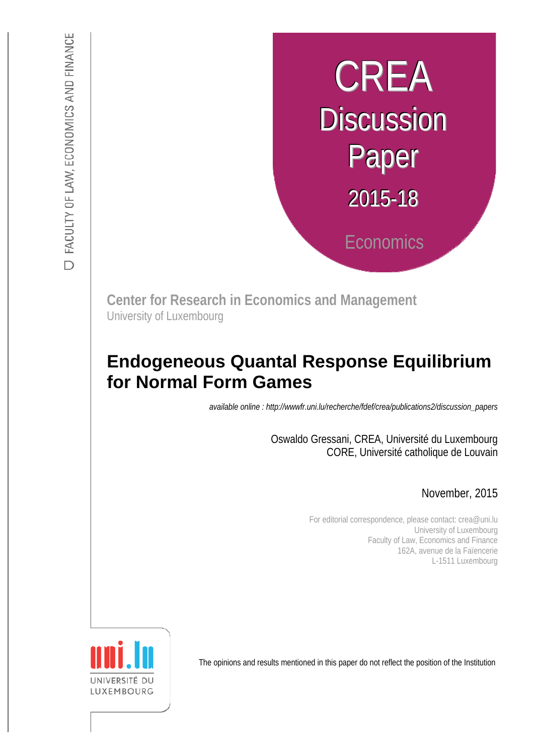# CREA **Discussion** Paper 2015-18 **Economics**

**Center for Research in Economics and Management** University of Luxembourg

# **Endogeneous Quantal Response Equilibrium for Normal Form Games**

:s *def.uni.lu/index.php/fdef\_FR/economie/crea available online : http://wwwfr.uni.lu/recherche/fdef/crea/publications2/discussion\_papers* 

Oswaldo Gressani, CREA, Université du Luxembourg CORE, Université catholique de Louvain

# November, 2015

For editorial correspondence, please contact: crea@uni.lu University of Luxembourg Faculty of Law, Economics and Finance 162A, avenue de la Faïencerie L-1511 Luxembourg



The opinions and results mentioned in this paper do not reflect the position of the Institution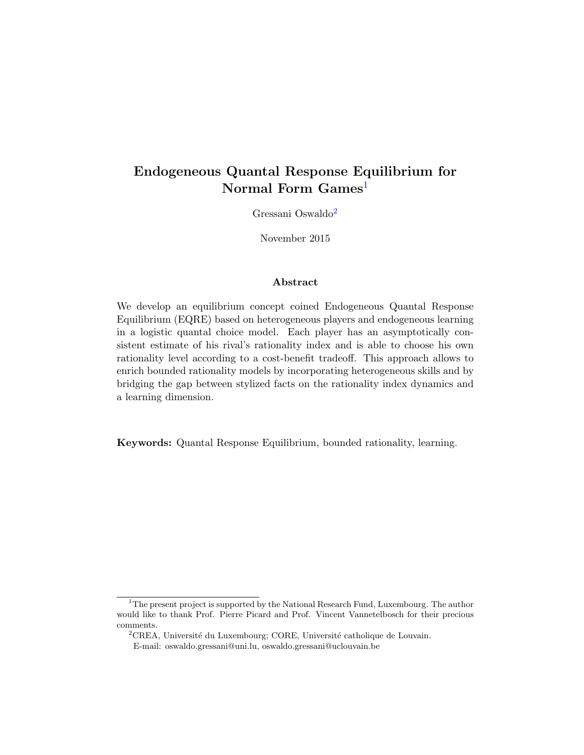# Endogeneous Quantal Response Equilibrium for Normal Form Games<sup>[1](#page-1-0)</sup>

Gressani Oswaldo[2](#page-1-1)

November 2015

### Abstract

We develop an equilibrium concept coined Endogeneous Quantal Response Equilibrium (EQRE) based on heterogeneous players and endogeneous learning in a logistic quantal choice model. Each player has an asymptotically consistent estimate of his rival's rationality index and is able to choose his own rationality level according to a cost-benefit tradeoff. This approach allows to enrich bounded rationality models by incorporating heterogeneous skills and by bridging the gap between stylized facts on the rationality index dynamics and a learning dimension.

Keywords: Quantal Response Equilibrium, bounded rationality, learning.

<span id="page-1-0"></span><sup>&</sup>lt;sup>1</sup>The present project is supported by the National Research Fund, Luxembourg. The author would like to thank Prof. Pierre Picard and Prof. Vincent Vannetelbosch for their precious comments.

<span id="page-1-1"></span> $^{2}\mathrm{CREA},$  Université du Luxembourg; CORE, Université catholique de Louvain. E-mail: oswaldo.gressani@uni.lu, oswaldo.gressani@uclouvain.be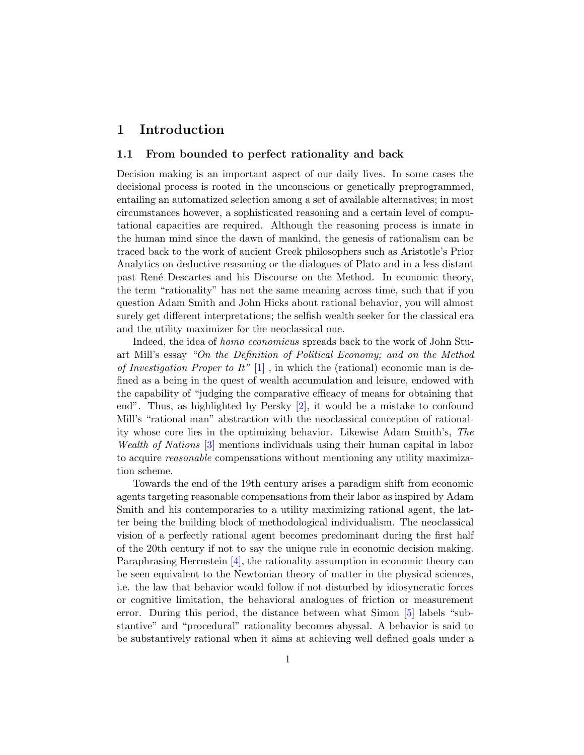# 1 Introduction

#### 1.1 From bounded to perfect rationality and back

Decision making is an important aspect of our daily lives. In some cases the decisional process is rooted in the unconscious or genetically preprogrammed, entailing an automatized selection among a set of available alternatives; in most circumstances however, a sophisticated reasoning and a certain level of computational capacities are required. Although the reasoning process is innate in the human mind since the dawn of mankind, the genesis of rationalism can be traced back to the work of ancient Greek philosophers such as Aristotle's Prior Analytics on deductive reasoning or the dialogues of Plato and in a less distant past René Descartes and his Discourse on the Method. In economic theory, the term "rationality" has not the same meaning across time, such that if you question Adam Smith and John Hicks about rational behavior, you will almost surely get different interpretations; the selfish wealth seeker for the classical era and the utility maximizer for the neoclassical one.

Indeed, the idea of homo economicus spreads back to the work of John Stuart Mill's essay "On the Definition of Political Economy; and on the Method of Investigation Proper to It"  $[1]$ , in which the (rational) economic man is defined as a being in the quest of wealth accumulation and leisure, endowed with the capability of "judging the comparative efficacy of means for obtaining that end". Thus, as highlighted by Persky [\[2\]](#page-30-1), it would be a mistake to confound Mill's "rational man" abstraction with the neoclassical conception of rationality whose core lies in the optimizing behavior. Likewise Adam Smith's, The Wealth of Nations [\[3\]](#page-30-2) mentions individuals using their human capital in labor to acquire reasonable compensations without mentioning any utility maximization scheme.

Towards the end of the 19th century arises a paradigm shift from economic agents targeting reasonable compensations from their labor as inspired by Adam Smith and his contemporaries to a utility maximizing rational agent, the latter being the building block of methodological individualism. The neoclassical vision of a perfectly rational agent becomes predominant during the first half of the 20th century if not to say the unique rule in economic decision making. Paraphrasing Herrnstein [\[4\]](#page-30-3), the rationality assumption in economic theory can be seen equivalent to the Newtonian theory of matter in the physical sciences, i.e. the law that behavior would follow if not disturbed by idiosyncratic forces or cognitive limitation, the behavioral analogues of friction or measurement error. During this period, the distance between what Simon [\[5\]](#page-30-4) labels "substantive" and "procedural" rationality becomes abyssal. A behavior is said to be substantively rational when it aims at achieving well defined goals under a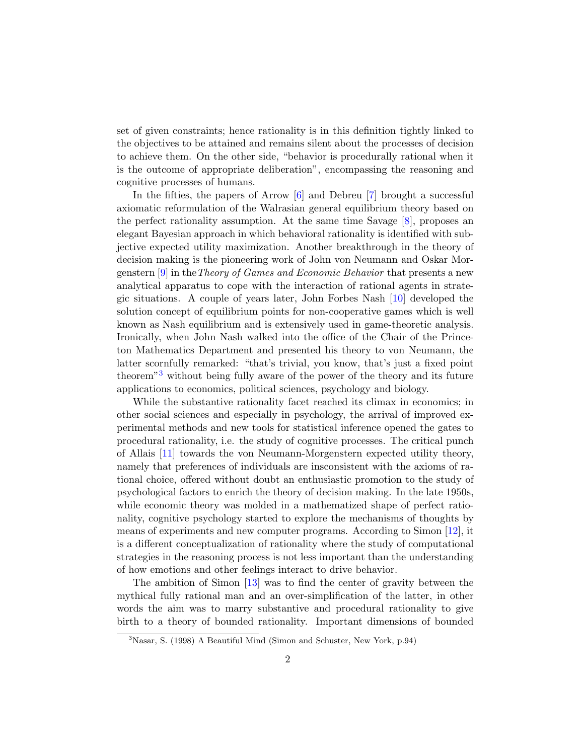set of given constraints; hence rationality is in this definition tightly linked to the objectives to be attained and remains silent about the processes of decision to achieve them. On the other side, "behavior is procedurally rational when it is the outcome of appropriate deliberation", encompassing the reasoning and cognitive processes of humans.

In the fifties, the papers of Arrow [\[6\]](#page-30-5) and Debreu [\[7\]](#page-30-6) brought a successful axiomatic reformulation of the Walrasian general equilibrium theory based on the perfect rationality assumption. At the same time Savage  $[8]$ , proposes an elegant Bayesian approach in which behavioral rationality is identified with subjective expected utility maximization. Another breakthrough in the theory of decision making is the pioneering work of John von Neumann and Oskar Mor-genstern [\[9\]](#page-30-8) in the Theory of Games and Economic Behavior that presents a new analytical apparatus to cope with the interaction of rational agents in strategic situations. A couple of years later, John Forbes Nash [\[10\]](#page-30-9) developed the solution concept of equilibrium points for non-cooperative games which is well known as Nash equilibrium and is extensively used in game-theoretic analysis. Ironically, when John Nash walked into the office of the Chair of the Princeton Mathematics Department and presented his theory to von Neumann, the latter scornfully remarked: "that's trivial, you know, that's just a fixed point theorem<sup>"[3](#page-3-0)</sup> without being fully aware of the power of the theory and its future applications to economics, political sciences, psychology and biology.

While the substantive rationality facet reached its climax in economics; in other social sciences and especially in psychology, the arrival of improved experimental methods and new tools for statistical inference opened the gates to procedural rationality, i.e. the study of cognitive processes. The critical punch of Allais [\[11\]](#page-30-10) towards the von Neumann-Morgenstern expected utility theory, namely that preferences of individuals are insconsistent with the axioms of rational choice, offered without doubt an enthusiastic promotion to the study of psychological factors to enrich the theory of decision making. In the late 1950s, while economic theory was molded in a mathematized shape of perfect rationality, cognitive psychology started to explore the mechanisms of thoughts by means of experiments and new computer programs. According to Simon [\[12\]](#page-30-11), it is a different conceptualization of rationality where the study of computational strategies in the reasoning process is not less important than the understanding of how emotions and other feelings interact to drive behavior.

The ambition of Simon [\[13\]](#page-30-12) was to find the center of gravity between the mythical fully rational man and an over-simplification of the latter, in other words the aim was to marry substantive and procedural rationality to give birth to a theory of bounded rationality. Important dimensions of bounded

<span id="page-3-0"></span><sup>3</sup>Nasar, S. (1998) A Beautiful Mind (Simon and Schuster, New York, p.94)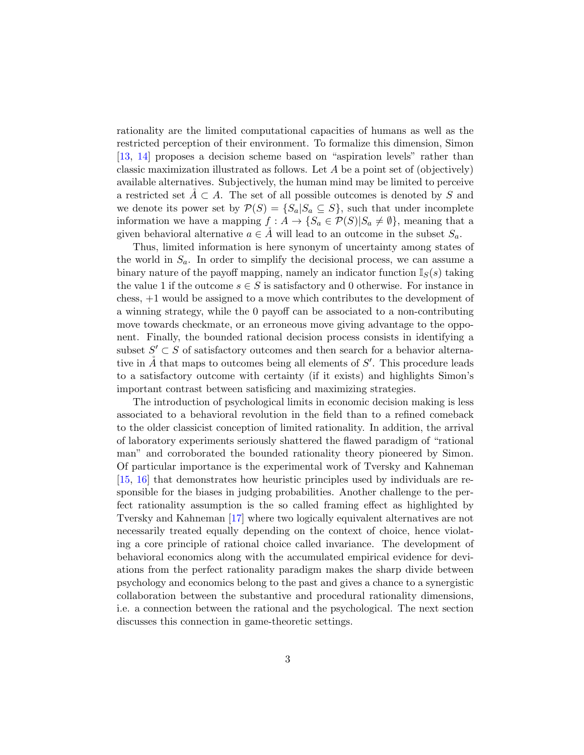rationality are the limited computational capacities of humans as well as the restricted perception of their environment. To formalize this dimension, Simon [\[13,](#page-30-12) [14\]](#page-31-0) proposes a decision scheme based on "aspiration levels" rather than classic maximization illustrated as follows. Let A be a point set of (objectively) available alternatives. Subjectively, the human mind may be limited to perceive a restricted set  $A \subset A$ . The set of all possible outcomes is denoted by S and we denote its power set by  $\mathcal{P}(S) = \{S_a | S_a \subseteq S\}$ , such that under incomplete information we have a mapping  $f : A \to \{S_a \in \mathcal{P}(S) | S_a \neq \emptyset\}$ , meaning that a given behavioral alternative  $a \in A$  will lead to an outcome in the subset  $S_a$ .

Thus, limited information is here synonym of uncertainty among states of the world in  $S_a$ . In order to simplify the decisional process, we can assume a binary nature of the payoff mapping, namely an indicator function  $\mathbb{I}_{S}(s)$  taking the value 1 if the outcome  $s \in S$  is satisfactory and 0 otherwise. For instance in chess, +1 would be assigned to a move which contributes to the development of a winning strategy, while the 0 payoff can be associated to a non-contributing move towards checkmate, or an erroneous move giving advantage to the opponent. Finally, the bounded rational decision process consists in identifying a subset  $S' \subset S$  of satisfactory outcomes and then search for a behavior alternative in  $\AA$  that maps to outcomes being all elements of  $S'$ . This procedure leads to a satisfactory outcome with certainty (if it exists) and highlights Simon's important contrast between satisficing and maximizing strategies.

The introduction of psychological limits in economic decision making is less associated to a behavioral revolution in the field than to a refined comeback to the older classicist conception of limited rationality. In addition, the arrival of laboratory experiments seriously shattered the flawed paradigm of "rational man" and corroborated the bounded rationality theory pioneered by Simon. Of particular importance is the experimental work of Tversky and Kahneman [\[15,](#page-31-1) [16\]](#page-31-2) that demonstrates how heuristic principles used by individuals are responsible for the biases in judging probabilities. Another challenge to the perfect rationality assumption is the so called framing effect as highlighted by Tversky and Kahneman [\[17\]](#page-31-3) where two logically equivalent alternatives are not necessarily treated equally depending on the context of choice, hence violating a core principle of rational choice called invariance. The development of behavioral economics along with the accumulated empirical evidence for deviations from the perfect rationality paradigm makes the sharp divide between psychology and economics belong to the past and gives a chance to a synergistic collaboration between the substantive and procedural rationality dimensions, i.e. a connection between the rational and the psychological. The next section discusses this connection in game-theoretic settings.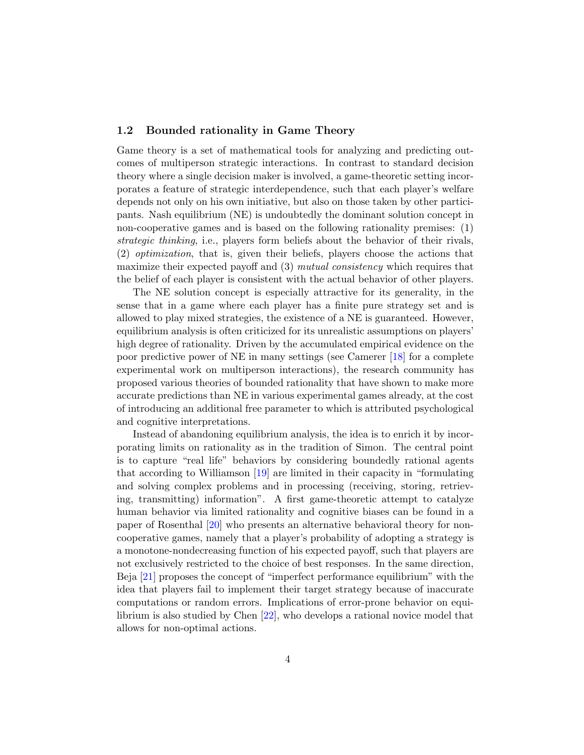## 1.2 Bounded rationality in Game Theory

Game theory is a set of mathematical tools for analyzing and predicting outcomes of multiperson strategic interactions. In contrast to standard decision theory where a single decision maker is involved, a game-theoretic setting incorporates a feature of strategic interdependence, such that each player's welfare depends not only on his own initiative, but also on those taken by other participants. Nash equilibrium (NE) is undoubtedly the dominant solution concept in non-cooperative games and is based on the following rationality premises: (1) strategic thinking, i.e., players form beliefs about the behavior of their rivals, (2) optimization, that is, given their beliefs, players choose the actions that maximize their expected payoff and (3) *mutual consistency* which requires that the belief of each player is consistent with the actual behavior of other players.

The NE solution concept is especially attractive for its generality, in the sense that in a game where each player has a finite pure strategy set and is allowed to play mixed strategies, the existence of a NE is guaranteed. However, equilibrium analysis is often criticized for its unrealistic assumptions on players' high degree of rationality. Driven by the accumulated empirical evidence on the poor predictive power of NE in many settings (see Camerer [\[18\]](#page-31-4) for a complete experimental work on multiperson interactions), the research community has proposed various theories of bounded rationality that have shown to make more accurate predictions than NE in various experimental games already, at the cost of introducing an additional free parameter to which is attributed psychological and cognitive interpretations.

Instead of abandoning equilibrium analysis, the idea is to enrich it by incorporating limits on rationality as in the tradition of Simon. The central point is to capture "real life" behaviors by considering boundedly rational agents that according to Williamson [\[19\]](#page-31-5) are limited in their capacity in "formulating and solving complex problems and in processing (receiving, storing, retrieving, transmitting) information". A first game-theoretic attempt to catalyze human behavior via limited rationality and cognitive biases can be found in a paper of Rosenthal [\[20\]](#page-31-6) who presents an alternative behavioral theory for noncooperative games, namely that a player's probability of adopting a strategy is a monotone-nondecreasing function of his expected payoff, such that players are not exclusively restricted to the choice of best responses. In the same direction, Beja [\[21\]](#page-31-7) proposes the concept of "imperfect performance equilibrium" with the idea that players fail to implement their target strategy because of inaccurate computations or random errors. Implications of error-prone behavior on equilibrium is also studied by Chen [\[22\]](#page-31-8), who develops a rational novice model that allows for non-optimal actions.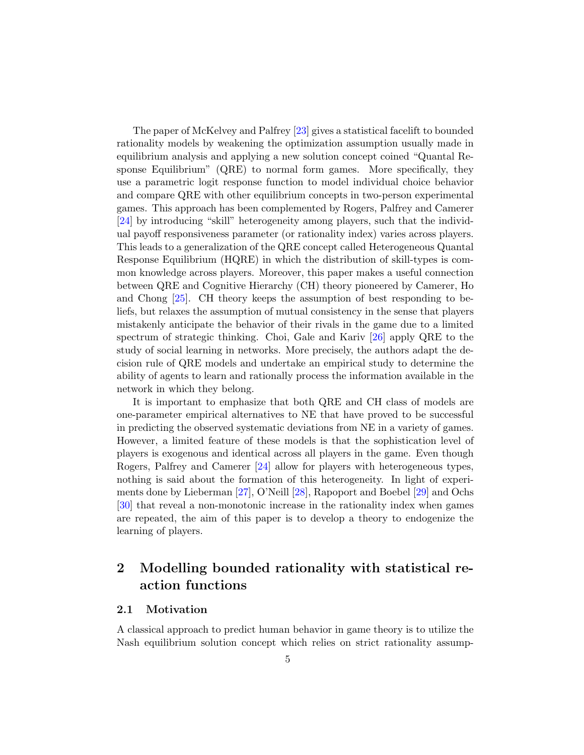The paper of McKelvey and Palfrey [\[23\]](#page-31-9) gives a statistical facelift to bounded rationality models by weakening the optimization assumption usually made in equilibrium analysis and applying a new solution concept coined "Quantal Response Equilibrium" (QRE) to normal form games. More specifically, they use a parametric logit response function to model individual choice behavior and compare QRE with other equilibrium concepts in two-person experimental games. This approach has been complemented by Rogers, Palfrey and Camerer [\[24\]](#page-31-10) by introducing "skill" heterogeneity among players, such that the individual payoff responsiveness parameter (or rationality index) varies across players. This leads to a generalization of the QRE concept called Heterogeneous Quantal Response Equilibrium (HQRE) in which the distribution of skill-types is common knowledge across players. Moreover, this paper makes a useful connection between QRE and Cognitive Hierarchy (CH) theory pioneered by Camerer, Ho and Chong [\[25\]](#page-31-11). CH theory keeps the assumption of best responding to beliefs, but relaxes the assumption of mutual consistency in the sense that players mistakenly anticipate the behavior of their rivals in the game due to a limited spectrum of strategic thinking. Choi, Gale and Kariv [\[26\]](#page-31-12) apply QRE to the study of social learning in networks. More precisely, the authors adapt the decision rule of QRE models and undertake an empirical study to determine the ability of agents to learn and rationally process the information available in the network in which they belong.

It is important to emphasize that both QRE and CH class of models are one-parameter empirical alternatives to NE that have proved to be successful in predicting the observed systematic deviations from NE in a variety of games. However, a limited feature of these models is that the sophistication level of players is exogenous and identical across all players in the game. Even though Rogers, Palfrey and Camerer [\[24\]](#page-31-10) allow for players with heterogeneous types, nothing is said about the formation of this heterogeneity. In light of experiments done by Lieberman [\[27\]](#page-31-13), O'Neill [\[28\]](#page-32-0), Rapoport and Boebel [\[29\]](#page-32-1) and Ochs [\[30\]](#page-32-2) that reveal a non-monotonic increase in the rationality index when games are repeated, the aim of this paper is to develop a theory to endogenize the learning of players.

# 2 Modelling bounded rationality with statistical reaction functions

## 2.1 Motivation

A classical approach to predict human behavior in game theory is to utilize the Nash equilibrium solution concept which relies on strict rationality assump-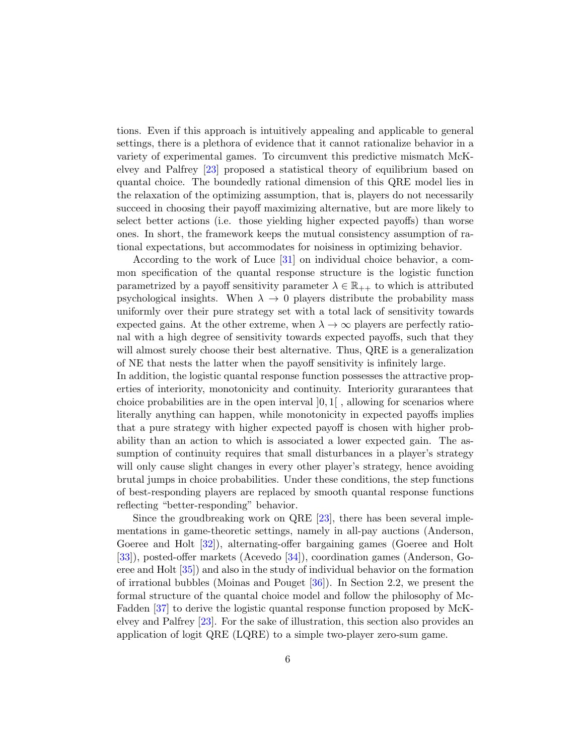tions. Even if this approach is intuitively appealing and applicable to general settings, there is a plethora of evidence that it cannot rationalize behavior in a variety of experimental games. To circumvent this predictive mismatch McKelvey and Palfrey [\[23\]](#page-31-9) proposed a statistical theory of equilibrium based on quantal choice. The boundedly rational dimension of this QRE model lies in the relaxation of the optimizing assumption, that is, players do not necessarily succeed in choosing their payoff maximizing alternative, but are more likely to select better actions (i.e. those yielding higher expected payoffs) than worse ones. In short, the framework keeps the mutual consistency assumption of rational expectations, but accommodates for noisiness in optimizing behavior.

According to the work of Luce [\[31\]](#page-32-3) on individual choice behavior, a common specification of the quantal response structure is the logistic function parametrized by a payoff sensitivity parameter  $\lambda \in \mathbb{R}_{++}$  to which is attributed psychological insights. When  $\lambda \to 0$  players distribute the probability mass uniformly over their pure strategy set with a total lack of sensitivity towards expected gains. At the other extreme, when  $\lambda \to \infty$  players are perfectly rational with a high degree of sensitivity towards expected payoffs, such that they will almost surely choose their best alternative. Thus, QRE is a generalization of NE that nests the latter when the payoff sensitivity is infinitely large.

In addition, the logistic quantal response function possesses the attractive properties of interiority, monotonicity and continuity. Interiority gurarantees that choice probabilities are in the open interval  $[0, 1]$ , allowing for scenarios where literally anything can happen, while monotonicity in expected payoffs implies that a pure strategy with higher expected payoff is chosen with higher probability than an action to which is associated a lower expected gain. The assumption of continuity requires that small disturbances in a player's strategy will only cause slight changes in every other player's strategy, hence avoiding brutal jumps in choice probabilities. Under these conditions, the step functions of best-responding players are replaced by smooth quantal response functions reflecting "better-responding" behavior.

Since the groudbreaking work on QRE [\[23\]](#page-31-9), there has been several implementations in game-theoretic settings, namely in all-pay auctions (Anderson, Goeree and Holt [\[32\]](#page-32-4)), alternating-offer bargaining games (Goeree and Holt [\[33\]](#page-32-5)), posted-offer markets (Acevedo [\[34\]](#page-32-6)), coordination games (Anderson, Goeree and Holt [\[35\]](#page-32-7)) and also in the study of individual behavior on the formation of irrational bubbles (Moinas and Pouget [\[36\]](#page-32-8)). In Section 2.2, we present the formal structure of the quantal choice model and follow the philosophy of Mc-Fadden [\[37\]](#page-32-9) to derive the logistic quantal response function proposed by McKelvey and Palfrey [\[23\]](#page-31-9). For the sake of illustration, this section also provides an application of logit QRE (LQRE) to a simple two-player zero-sum game.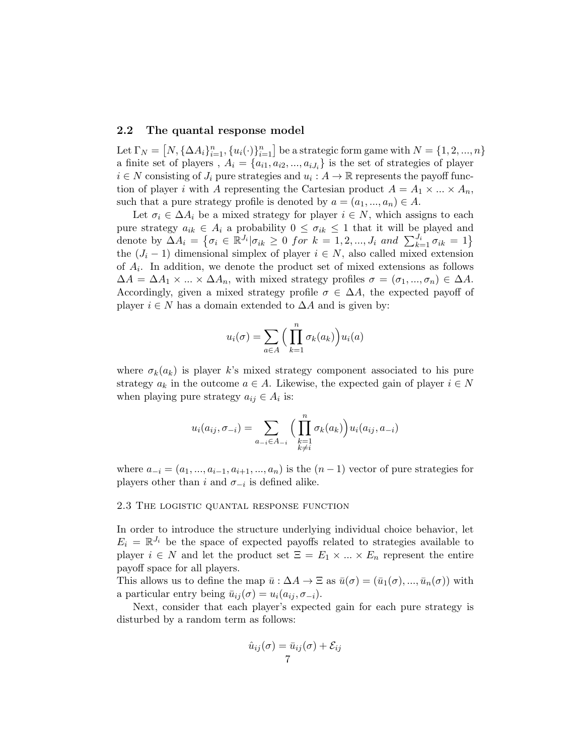#### 2.2 The quantal response model

Let  $\Gamma_N = [N, {\Delta A_i}_{i=1}^n, {u_i(\cdot)}_{i=1}^n]$  be a strategic form game with  $N = \{1, 2, ..., n\}$ a finite set of players,  $A_i = \{a_{i1}, a_{i2}, ..., a_{iJ_i}\}$  is the set of strategies of player  $i \in N$  consisting of  $J_i$  pure strategies and  $u_i : A \to \mathbb{R}$  represents the payoff function of player i with A representing the Cartesian product  $A = A_1 \times ... \times A_n$ , such that a pure strategy profile is denoted by  $a = (a_1, ..., a_n) \in A$ .

Let  $\sigma_i \in \Delta A_i$  be a mixed strategy for player  $i \in N$ , which assigns to each pure strategy  $a_{ik} \in A_i$  a probability  $0 \leq \sigma_{ik} \leq 1$  that it will be played and denote by  $\Delta A_i = \left\{ \sigma_i \in \mathbb{R}^{J_i} | \sigma_{ik} \geq 0 \text{ for } k = 1, 2, ..., J_i \text{ and } \sum_{k=1}^{J_i} \sigma_{ik} = 1 \right\}$ the  $(J_i - 1)$  dimensional simplex of player  $i \in N$ , also called mixed extension of  $A_i$ . In addition, we denote the product set of mixed extensions as follows  $\Delta A = \Delta A_1 \times ... \times \Delta A_n$ , with mixed strategy profiles  $\sigma = (\sigma_1, ..., \sigma_n) \in \Delta A$ . Accordingly, given a mixed strategy profile  $\sigma \in \Delta A$ , the expected payoff of player  $i \in N$  has a domain extended to  $\Delta A$  and is given by:

$$
u_i(\sigma) = \sum_{a \in A} \Big( \prod_{k=1}^n \sigma_k(a_k) \Big) u_i(a)
$$

where  $\sigma_k(a_k)$  is player k's mixed strategy component associated to his pure strategy  $a_k$  in the outcome  $a \in A$ . Likewise, the expected gain of player  $i \in N$ when playing pure strategy  $a_{ij} \in A_i$  is:

$$
u_i(a_{ij}, \sigma_{-i}) = \sum_{\substack{a_{-i} \in A_{-i}}} \Big( \prod_{\substack{k=1 \\ k \neq i}}^n \sigma_k(a_k) \Big) u_i(a_{ij}, a_{-i})
$$

where  $a_{-i} = (a_1, ..., a_{i-1}, a_{i+1}, ..., a_n)$  is the  $(n-1)$  vector of pure strategies for players other than i and  $\sigma_{-i}$  is defined alike.

#### 2.3 The logistic quantal response function

In order to introduce the structure underlying individual choice behavior, let  $E_i = \mathbb{R}^{J_i}$  be the space of expected payoffs related to strategies available to player  $i \in N$  and let the product set  $\Xi = E_1 \times ... \times E_n$  represent the entire payoff space for all players.

This allows us to define the map  $\bar{u}$  :  $\Delta A \to \Xi$  as  $\bar{u}(\sigma) = (\bar{u}_1(\sigma), ..., \bar{u}_n(\sigma))$  with a particular entry being  $\bar{u}_{ii}(\sigma) = u_i(a_{ii}, \sigma_{-i}).$ 

Next, consider that each player's expected gain for each pure strategy is disturbed by a random term as follows:

$$
\hat{u}_{ij}(\sigma) = \bar{u}_{ij}(\sigma) + \mathcal{E}_{ij}
$$
  
7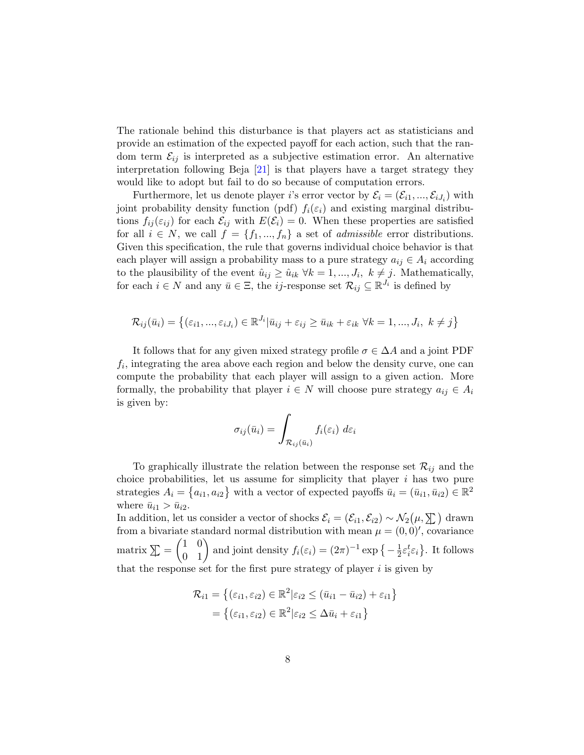The rationale behind this disturbance is that players act as statisticians and provide an estimation of the expected payoff for each action, such that the random term  $\mathcal{E}_{ij}$  is interpreted as a subjective estimation error. An alternative interpretation following Beja [\[21\]](#page-31-7) is that players have a target strategy they would like to adopt but fail to do so because of computation errors.

Furthermore, let us denote player *i*'s error vector by  $\mathcal{E}_i = (\mathcal{E}_{i1}, ..., \mathcal{E}_{iJ_i})$  with joint probability density function (pdf)  $f_i(\varepsilon_i)$  and existing marginal distributions  $f_{ij}(\varepsilon_{ij})$  for each  $\mathcal{E}_{ij}$  with  $E(\mathcal{E}_i) = 0$ . When these properties are satisfied for all  $i \in N$ , we call  $f = \{f_1, ..., f_n\}$  a set of *admissible* error distributions. Given this specification, the rule that governs individual choice behavior is that each player will assign a probability mass to a pure strategy  $a_{ij} \in A_i$  according to the plausibility of the event  $\hat{u}_{ij} \geq \hat{u}_{ik}$   $\forall k = 1, ..., J_i, k \neq j$ . Mathematically, for each  $i \in N$  and any  $\bar{u} \in \Xi$ , the *ij*-response set  $\mathcal{R}_{ij} \subseteq \mathbb{R}^{J_i}$  is defined by

$$
\mathcal{R}_{ij}(\bar{u}_i) = \left\{ (\varepsilon_{i1},...,\varepsilon_{iJ_i}) \in \mathbb{R}^{J_i} | \bar{u}_{ij} + \varepsilon_{ij} \ge \bar{u}_{ik} + \varepsilon_{ik} \ \forall k = 1,...,J_i, \ k \ne j \right\}
$$

It follows that for any given mixed strategy profile  $\sigma \in \Delta A$  and a joint PDF  $f_i$ , integrating the area above each region and below the density curve, one can compute the probability that each player will assign to a given action. More formally, the probability that player  $i \in N$  will choose pure strategy  $a_{ij} \in A_i$ is given by:

$$
\sigma_{ij}(\bar{u}_i) = \int_{\mathcal{R}_{ij}(\bar{u}_i)} f_i(\varepsilon_i) \ d\varepsilon_i
$$

To graphically illustrate the relation between the response set  $\mathcal{R}_{ij}$  and the choice probabilities, let us assume for simplicity that player  $i$  has two pure strategies  $A_i = \{a_{i1}, a_{i2}\}\$  with a vector of expected payoffs  $\bar{u}_i = (\bar{u}_{i1}, \bar{u}_{i2}) \in \mathbb{R}^2$ where  $\bar{u}_{i1} > \bar{u}_{i2}$ .

In addition, let us consider a vector of shocks  $\mathcal{E}_i = (\mathcal{E}_{i1}, \mathcal{E}_{i2}) \sim \mathcal{N}_2(\mu, \sum)$  drawn from a bivariate standard normal distribution with mean  $\mu = (0,0)'$ , covariance matrix  $\sum = \begin{pmatrix} 1 & 0 \\ 0 & 1 \end{pmatrix}$  and joint density  $f_i(\varepsilon_i) = (2\pi)^{-1} \exp \{-\frac{1}{2}$  $\frac{1}{2}\varepsilon_i^t \varepsilon_i$ . It follows that the response set for the first pure strategy of player  $i$  is given by

$$
\mathcal{R}_{i1} = \{ (\varepsilon_{i1}, \varepsilon_{i2}) \in \mathbb{R}^2 | \varepsilon_{i2} \le (\bar{u}_{i1} - \bar{u}_{i2}) + \varepsilon_{i1} \}
$$

$$
= \{ (\varepsilon_{i1}, \varepsilon_{i2}) \in \mathbb{R}^2 | \varepsilon_{i2} \le \Delta \bar{u}_i + \varepsilon_{i1} \}
$$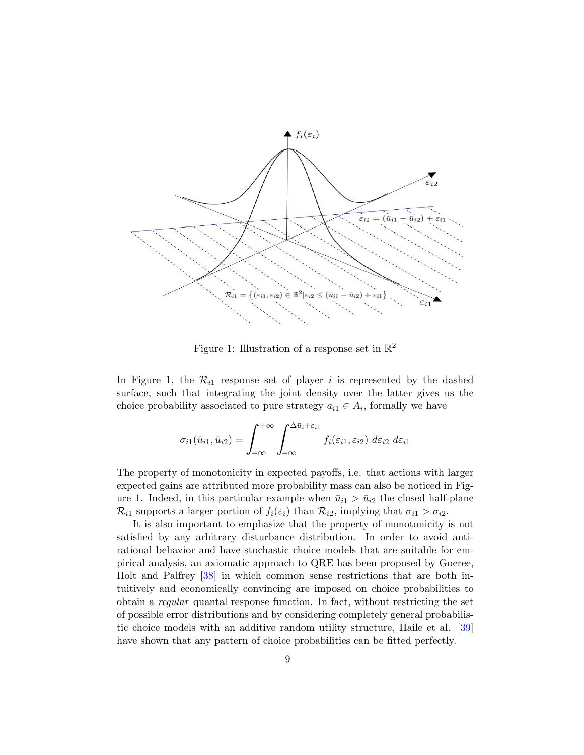

Figure 1: Illustration of a response set in  $\mathbb{R}^2$ 

In Figure 1, the  $\mathcal{R}_{i1}$  response set of player i is represented by the dashed surface, such that integrating the joint density over the latter gives us the choice probability associated to pure strategy  $a_{i1} \in A_i$ , formally we have

$$
\sigma_{i1}(\bar{u}_{i1}, \bar{u}_{i2}) = \int_{-\infty}^{+\infty} \int_{-\infty}^{\Delta \bar{u}_i + \varepsilon_{i1}} f_i(\varepsilon_{i1}, \varepsilon_{i2}) d\varepsilon_{i2} d\varepsilon_{i1}
$$

The property of monotonicity in expected payoffs, i.e. that actions with larger expected gains are attributed more probability mass can also be noticed in Figure 1. Indeed, in this particular example when  $\bar{u}_{i1} > \bar{u}_{i2}$  the closed half-plane  $\mathcal{R}_{i1}$  supports a larger portion of  $f_i(\varepsilon_i)$  than  $\mathcal{R}_{i2}$ , implying that  $\sigma_{i1} > \sigma_{i2}$ .

It is also important to emphasize that the property of monotonicity is not satisfied by any arbitrary disturbance distribution. In order to avoid antirational behavior and have stochastic choice models that are suitable for empirical analysis, an axiomatic approach to QRE has been proposed by Goeree, Holt and Palfrey [\[38\]](#page-32-10) in which common sense restrictions that are both intuitively and economically convincing are imposed on choice probabilities to obtain a regular quantal response function. In fact, without restricting the set of possible error distributions and by considering completely general probabilistic choice models with an additive random utility structure, Haile et al. [\[39\]](#page-32-11) have shown that any pattern of choice probabilities can be fitted perfectly.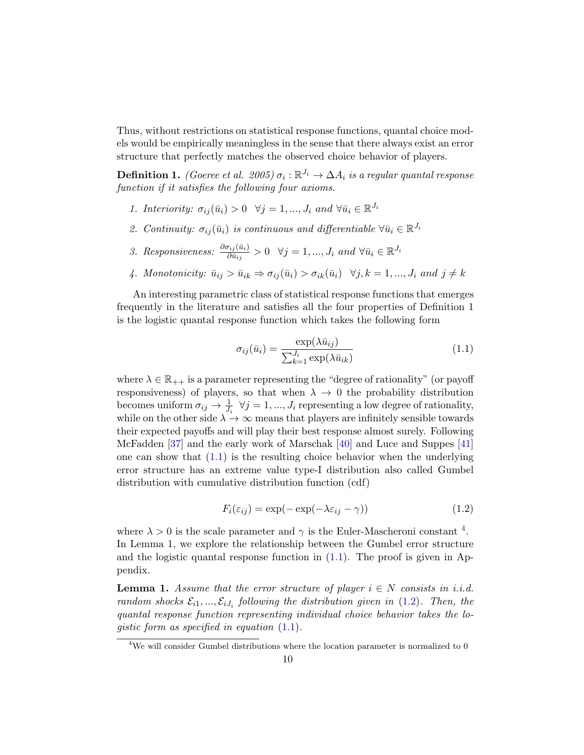Thus, without restrictions on statistical response functions, quantal choice models would be empirically meaningless in the sense that there always exist an error structure that perfectly matches the observed choice behavior of players.

**Definition 1.** (Goeree et al. 2005)  $\sigma_i : \mathbb{R}^{J_i} \to \Delta A_i$  is a regular quantal response function if it satisfies the following four axioms.

- 1. Interiority:  $\sigma_{ij}(\bar{u}_i) > 0 \quad \forall j = 1, ..., J_i \text{ and } \forall \bar{u}_i \in \mathbb{R}^{J_i}$
- 2. Continuity:  $\sigma_{ij}(\bar{u}_i)$  is continuous and differentiable  $\forall \bar{u}_i \in \mathbb{R}^{J_i}$
- 3. Responsiveness:  $\frac{\partial \sigma_{ij}(\bar{u}_i)}{\partial \bar{u}_{ij}} > 0 \quad \forall j = 1, ..., J_i \text{ and } \forall \bar{u}_i \in \mathbb{R}^{J_i}$
- 4. Monotonicity:  $\bar{u}_{ij} > \bar{u}_{ik} \Rightarrow \sigma_{ij}(\bar{u}_i) > \sigma_{ik}(\bar{u}_i) \quad \forall j, k = 1, ..., J_i \text{ and } j \neq k$

An interesting parametric class of statistical response functions that emerges frequently in the literature and satisfies all the four properties of Definition 1 is the logistic quantal response function which takes the following form

<span id="page-11-0"></span>
$$
\sigma_{ij}(\bar{u}_i) = \frac{\exp(\lambda \bar{u}_{ij})}{\sum_{k=1}^{J_i} \exp(\lambda \bar{u}_{ik})}
$$
(1.1)

where  $\lambda \in \mathbb{R}_{++}$  is a parameter representing the "degree of rationality" (or payoff responsiveness) of players, so that when  $\lambda \to 0$  the probability distribution becomes uniform  $\sigma_{ij} \to \frac{1}{J_i} \quad \forall j = 1, ..., J_i$  representing a low degree of rationality, while on the other side  $\lambda \to \infty$  means that players are infinitely sensible towards their expected payoffs and will play their best response almost surely. Following McFadden [\[37\]](#page-32-9) and the early work of Marschak [\[40\]](#page-32-12) and Luce and Suppes [\[41\]](#page-33-0) one can show that  $(1.1)$  is the resulting choice behavior when the underlying error structure has an extreme value type-I distribution also called Gumbel distribution with cumulative distribution function (cdf)

<span id="page-11-2"></span>
$$
F_i(\varepsilon_{ij}) = \exp(-\exp(-\lambda \varepsilon_{ij} - \gamma))
$$
\n(1.2)

where  $\lambda > 0$  is the scale parameter and  $\gamma$  is the Euler-Mascheroni constant <sup>[4](#page-11-1)</sup>. In Lemma 1, we explore the relationship between the Gumbel error structure and the logistic quantal response function in  $(1.1)$ . The proof is given in Appendix.

**Lemma 1.** Assume that the error structure of player  $i \in N$  consists in i.i.d. random shocks  $\mathcal{E}_{i1},...,\mathcal{E}_{iJ_i}$  following the distribution given in [\(1.2\)](#page-11-2). Then, the quantal response function representing individual choice behavior takes the logistic form as specified in equation  $(1.1)$ .

<span id="page-11-1"></span> ${}^{4}\mathrm{We}$  will consider Gumbel distributions where the location parameter is normalized to  $0$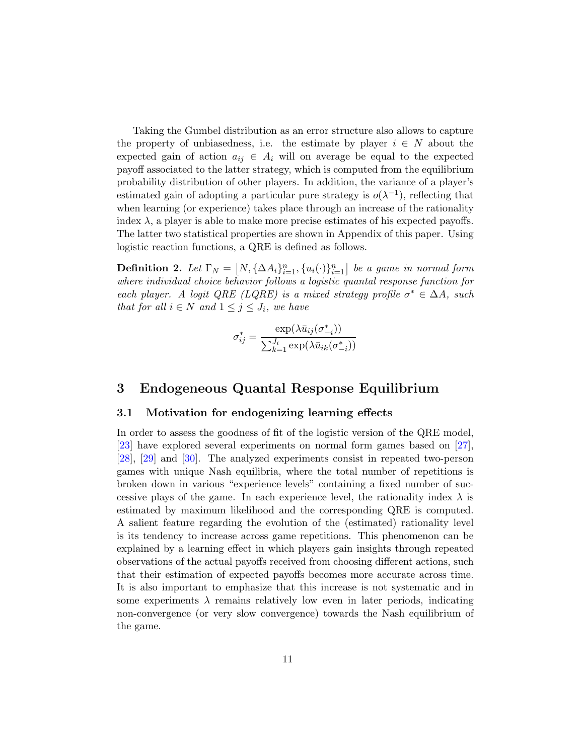Taking the Gumbel distribution as an error structure also allows to capture the property of unbiasedness, i.e. the estimate by player  $i \in N$  about the expected gain of action  $a_{ij} \in A_i$  will on average be equal to the expected payoff associated to the latter strategy, which is computed from the equilibrium probability distribution of other players. In addition, the variance of a player's estimated gain of adopting a particular pure strategy is  $o(\lambda^{-1})$ , reflecting that when learning (or experience) takes place through an increase of the rationality index  $\lambda$ , a player is able to make more precise estimates of his expected payoffs. The latter two statistical properties are shown in Appendix of this paper. Using logistic reaction functions, a QRE is defined as follows.

**Definition 2.** Let  $\Gamma_N = [N, {\{\Delta A_i\}}_{i=1}^n, {u_i(\cdot)}_{i=1}^n]$  be a game in normal form where individual choice behavior follows a logistic quantal response function for each player. A logit QRE (LQRE) is a mixed strategy profile  $\sigma^* \in \Delta A$ , such that for all  $i \in N$  and  $1 \leq j \leq J_i$ , we have

$$
\sigma_{ij}^* = \frac{\exp(\lambda \bar{u}_{ij}(\sigma_{-i}^*))}{\sum_{k=1}^{J_i} \exp(\lambda \bar{u}_{ik}(\sigma_{-i}^*))}
$$

# 3 Endogeneous Quantal Response Equilibrium

#### 3.1 Motivation for endogenizing learning effects

In order to assess the goodness of fit of the logistic version of the QRE model, [\[23\]](#page-31-9) have explored several experiments on normal form games based on [\[27\]](#page-31-13), [\[28\]](#page-32-0), [\[29\]](#page-32-1) and [\[30\]](#page-32-2). The analyzed experiments consist in repeated two-person games with unique Nash equilibria, where the total number of repetitions is broken down in various "experience levels" containing a fixed number of successive plays of the game. In each experience level, the rationality index  $\lambda$  is estimated by maximum likelihood and the corresponding QRE is computed. A salient feature regarding the evolution of the (estimated) rationality level is its tendency to increase across game repetitions. This phenomenon can be explained by a learning effect in which players gain insights through repeated observations of the actual payoffs received from choosing different actions, such that their estimation of expected payoffs becomes more accurate across time. It is also important to emphasize that this increase is not systematic and in some experiments  $\lambda$  remains relatively low even in later periods, indicating non-convergence (or very slow convergence) towards the Nash equilibrium of the game.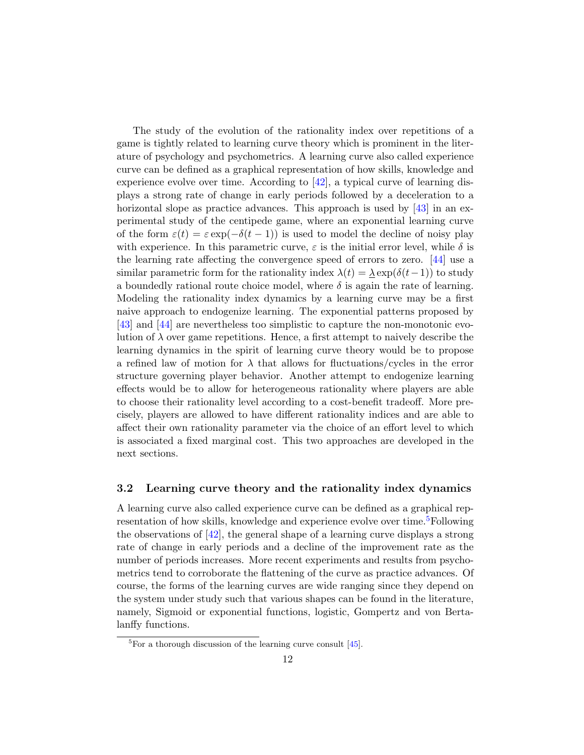The study of the evolution of the rationality index over repetitions of a game is tightly related to learning curve theory which is prominent in the literature of psychology and psychometrics. A learning curve also called experience curve can be defined as a graphical representation of how skills, knowledge and experience evolve over time. According to [\[42\]](#page-33-1), a typical curve of learning displays a strong rate of change in early periods followed by a deceleration to a horizontal slope as practice advances. This approach is used by [\[43\]](#page-33-2) in an experimental study of the centipede game, where an exponential learning curve of the form  $\varepsilon(t) = \varepsilon \exp(-\delta(t-1))$  is used to model the decline of noisy play with experience. In this parametric curve,  $\varepsilon$  is the initial error level, while  $\delta$  is the learning rate affecting the convergence speed of errors to zero. [\[44\]](#page-33-3) use a similar parametric form for the rationality index  $\lambda(t) = \lambda \exp(\delta(t-1))$  to study a boundedly rational route choice model, where  $\delta$  is again the rate of learning. Modeling the rationality index dynamics by a learning curve may be a first naive approach to endogenize learning. The exponential patterns proposed by [\[43\]](#page-33-2) and [\[44\]](#page-33-3) are nevertheless too simplistic to capture the non-monotonic evolution of  $\lambda$  over game repetitions. Hence, a first attempt to naively describe the learning dynamics in the spirit of learning curve theory would be to propose a refined law of motion for  $\lambda$  that allows for fluctuations/cycles in the error structure governing player behavior. Another attempt to endogenize learning effects would be to allow for heterogeneous rationality where players are able to choose their rationality level according to a cost-benefit tradeoff. More precisely, players are allowed to have different rationality indices and are able to affect their own rationality parameter via the choice of an effort level to which is associated a fixed marginal cost. This two approaches are developed in the next sections.

## 3.2 Learning curve theory and the rationality index dynamics

A learning curve also called experience curve can be defined as a graphical rep-resentation of how skills, knowledge and experience evolve over time.<sup>[5](#page-13-0)</sup>Following the observations of [\[42\]](#page-33-1), the general shape of a learning curve displays a strong rate of change in early periods and a decline of the improvement rate as the number of periods increases. More recent experiments and results from psychometrics tend to corroborate the flattening of the curve as practice advances. Of course, the forms of the learning curves are wide ranging since they depend on the system under study such that various shapes can be found in the literature, namely, Sigmoid or exponential functions, logistic, Gompertz and von Bertalanffy functions.

<span id="page-13-0"></span> ${}^{5}$ For a thorough discussion of the learning curve consult [\[45\]](#page-33-4).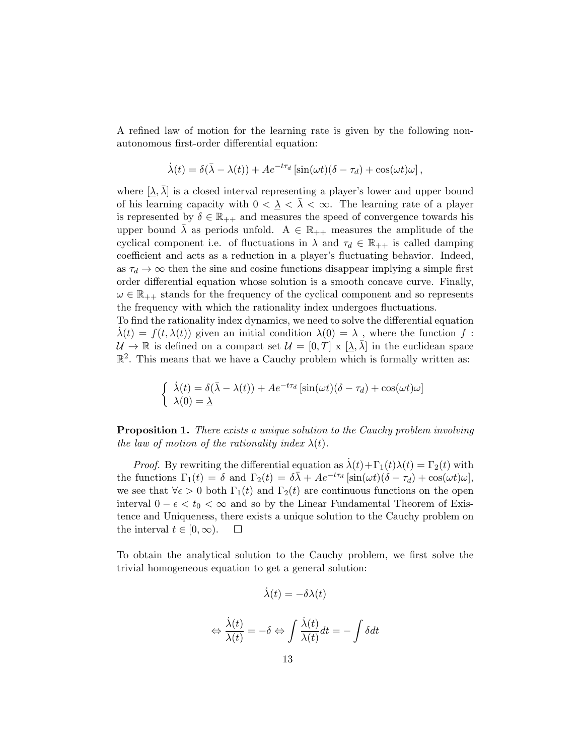A refined law of motion for the learning rate is given by the following nonautonomous first-order differential equation:

$$
\dot{\lambda}(t) = \delta(\bar{\lambda} - \lambda(t)) + A e^{-t\tau_d} \left[ \sin(\omega t) (\delta - \tau_d) + \cos(\omega t) \omega \right],
$$

where  $[\underline{\lambda}, \overline{\lambda}]$  is a closed interval representing a player's lower and upper bound of his learning capacity with  $0 < \lambda < \overline{\lambda} < \infty$ . The learning rate of a player is represented by  $\delta \in \mathbb{R}_{++}$  and measures the speed of convergence towards his upper bound  $\bar{\lambda}$  as periods unfold.  $A \in \mathbb{R}_{++}$  measures the amplitude of the cyclical component i.e. of fluctuations in  $\lambda$  and  $\tau_d \in \mathbb{R}_{++}$  is called damping coefficient and acts as a reduction in a player's fluctuating behavior. Indeed, as  $\tau_d \to \infty$  then the sine and cosine functions disappear implying a simple first order differential equation whose solution is a smooth concave curve. Finally,  $\omega \in \mathbb{R}_{++}$  stands for the frequency of the cyclical component and so represents the frequency with which the rationality index undergoes fluctuations.

To find the rationality index dynamics, we need to solve the differential equation  $\lambda(t) = f(t, \lambda(t))$  given an initial condition  $\lambda(0) = \lambda$ , where the function f:  $\mathcal{U} \to \mathbb{R}$  is defined on a compact set  $\mathcal{U} = [0, T] \times [\lambda, \overline{\lambda}]$  in the euclidean space  $\mathbb{R}^2$ . This means that we have a Cauchy problem which is formally written as:

$$
\begin{cases} \n\dot{\lambda}(t) = \delta(\bar{\lambda} - \lambda(t)) + Ae^{-t\tau_d} \left[ \sin(\omega t)(\delta - \tau_d) + \cos(\omega t)\omega \right] \\
\lambda(0) = \underline{\lambda} \n\end{cases}
$$

**Proposition 1.** There exists a unique solution to the Cauchy problem involving the law of motion of the rationality index  $\lambda(t)$ .

*Proof.* By rewriting the differential equation as  $\dot{\lambda}(t)+\Gamma_1(t)\lambda(t) = \Gamma_2(t)$  with the functions  $\Gamma_1(t) = \delta$  and  $\Gamma_2(t) = \delta \overline{\lambda} + Ae^{-t\tau_d} \left[\sin(\omega t)(\delta - \tau_d) + \cos(\omega t)\omega\right],$ we see that  $\forall \epsilon > 0$  both  $\Gamma_1(t)$  and  $\Gamma_2(t)$  are continuous functions on the open interval  $0 - \epsilon < t_0 < \infty$  and so by the Linear Fundamental Theorem of Existence and Uniqueness, there exists a unique solution to the Cauchy problem on the interval  $t \in [0, \infty)$ .  $\Box$ 

To obtain the analytical solution to the Cauchy problem, we first solve the trivial homogeneous equation to get a general solution:

$$
\dot{\lambda}(t) = -\delta \lambda(t)
$$

$$
\Leftrightarrow \frac{\dot{\lambda}(t)}{\lambda(t)} = -\delta \Leftrightarrow \int \frac{\dot{\lambda}(t)}{\lambda(t)} dt = -\int \delta dt
$$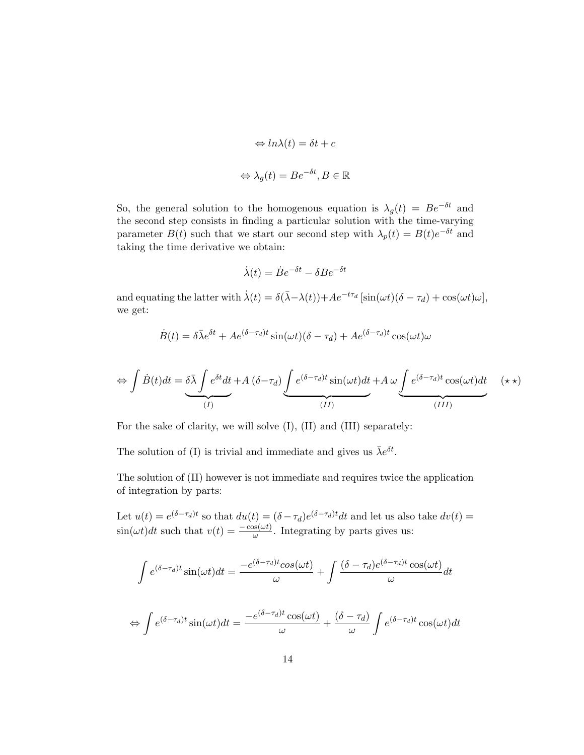$$
\Leftrightarrow ln\lambda(t) = \delta t + c
$$
  

$$
\Leftrightarrow \lambda_g(t) = Be^{-\delta t}, B \in \mathbb{R}
$$

So, the general solution to the homogenous equation is  $\lambda_g(t) = Be^{-\delta t}$  and the second step consists in finding a particular solution with the time-varying parameter  $B(t)$  such that we start our second step with  $\lambda_p(t) = B(t)e^{-\delta t}$  and taking the time derivative we obtain:

$$
\dot{\lambda}(t) = \dot{B}e^{-\delta t} - \delta B e^{-\delta t}
$$

and equating the latter with  $\dot{\lambda}(t) = \delta(\bar{\lambda}-\lambda(t)) + Ae^{-t\tau_d} \left[\sin(\omega t)(\delta-\tau_d) + \cos(\omega t)\omega\right],$ we get:

$$
\dot{B}(t) = \delta \bar{\lambda} e^{\delta t} + A e^{(\delta - \tau_d)t} \sin(\omega t) (\delta - \tau_d) + A e^{(\delta - \tau_d)t} \cos(\omega t) \omega
$$

$$
\Leftrightarrow \int \dot{B}(t)dt = \underbrace{\delta\bar{\lambda}\int e^{\delta t}dt}_{(I)} + A(\delta - \tau_d)\underbrace{\int e^{(\delta - \tau_d)t}\sin(\omega t)dt}_{(II)} + A\,\omega\underbrace{\int e^{(\delta - \tau_d)t}\cos(\omega t)dt}_{(III)} \quad (\star \star)
$$

For the sake of clarity, we will solve (I), (II) and (III) separately:

The solution of (I) is trivial and immediate and gives us  $\bar{\lambda}e^{\delta t}$ .

The solution of (II) however is not immediate and requires twice the application of integration by parts:

Let  $u(t) = e^{(\delta - \tau_d)t}$  so that  $du(t) = (\delta - \tau_d)e^{(\delta - \tau_d)t}dt$  and let us also take  $dv(t) =$  $\sin(\omega t)dt$  such that  $v(t) = \frac{-\cos(\omega t)}{\omega}$ . Integrating by parts gives us:

$$
\int e^{(\delta - \tau_d)t} \sin(\omega t) dt = \frac{-e^{(\delta - \tau_d)t} \cos(\omega t)}{\omega} + \int \frac{(\delta - \tau_d)e^{(\delta - \tau_d)t} \cos(\omega t)}{\omega} dt
$$

$$
\Leftrightarrow \int e^{(\delta-\tau_d)t} \sin(\omega t) dt = \frac{-e^{(\delta-\tau_d)t} \cos(\omega t)}{\omega} + \frac{(\delta-\tau_d)}{\omega} \int e^{(\delta-\tau_d)t} \cos(\omega t) dt
$$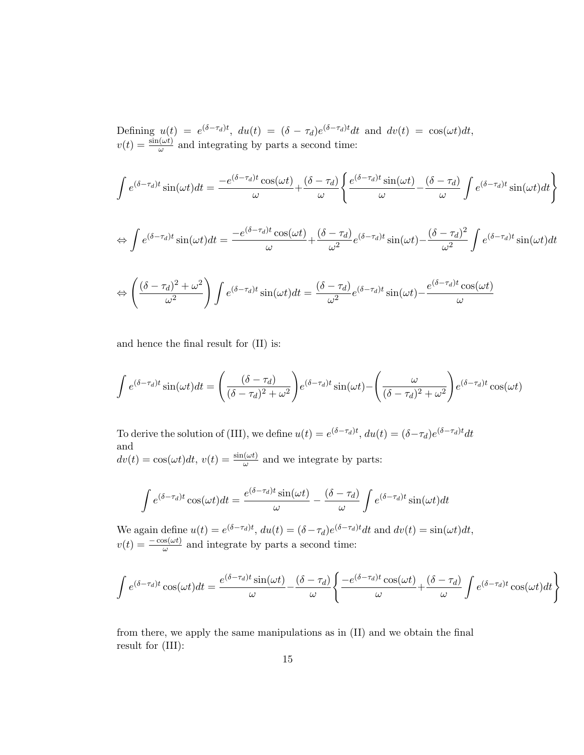Defining  $u(t) = e^{(\delta - \tau_d)t}$ ,  $du(t) = (\delta - \tau_d)e^{(\delta - \tau_d)t}dt$  and  $dv(t) = \cos(\omega t)dt$ ,  $v(t) = \frac{\sin(\omega t)}{\omega}$  and integrating by parts a second time:

$$
\int e^{(\delta-\tau_d)t} \sin(\omega t)dt = \frac{-e^{(\delta-\tau_d)t} \cos(\omega t)}{\omega} + \frac{(\delta-\tau_d)}{\omega} \left\{ \frac{e^{(\delta-\tau_d)t} \sin(\omega t)}{\omega} - \frac{(\delta-\tau_d)}{\omega} \int e^{(\delta-\tau_d)t} \sin(\omega t)dt \right\}
$$

$$
\Leftrightarrow \int e^{(\delta-\tau_d)t} \sin(\omega t)dt = \frac{-e^{(\delta-\tau_d)t} \cos(\omega t)}{\omega} + \frac{(\delta-\tau_d)}{\omega^2} e^{(\delta-\tau_d)t} \sin(\omega t) - \frac{(\delta-\tau_d)^2}{\omega^2} \int e^{(\delta-\tau_d)t} \sin(\omega t)dt
$$

$$
\Leftrightarrow \left(\frac{(\delta-\tau_d)^2+\omega^2}{\omega^2}\right)\int e^{(\delta-\tau_d)t}\sin(\omega t)dt = \frac{(\delta-\tau_d)}{\omega^2}e^{(\delta-\tau_d)t}\sin(\omega t) - \frac{e^{(\delta-\tau_d)t}\cos(\omega t)}{\omega}
$$

and hence the final result for (II) is:

$$
\int e^{(\delta-\tau_d)t} \sin(\omega t) dt = \left(\frac{(\delta-\tau_d)}{(\delta-\tau_d)^2+\omega^2}\right) e^{(\delta-\tau_d)t} \sin(\omega t) - \left(\frac{\omega}{(\delta-\tau_d)^2+\omega^2}\right) e^{(\delta-\tau_d)t} \cos(\omega t)
$$

To derive the solution of (III), we define  $u(t) = e^{(\delta - \tau_d)t}$ ,  $du(t) = (\delta - \tau_d)e^{(\delta - \tau_d)t}dt$ and  $dv(t) = \cos(\omega t)dt$ ,  $v(t) = \frac{\sin(\omega t)}{\omega}$  and we integrate by parts:

$$
\int e^{(\delta - \tau_d)t} \cos(\omega t) dt = \frac{e^{(\delta - \tau_d)t} \sin(\omega t)}{\omega} - \frac{(\delta - \tau_d)}{\omega} \int e^{(\delta - \tau_d)t} \sin(\omega t) dt
$$

We again define  $u(t) = e^{(\delta - \tau_d)t}$ ,  $du(t) = (\delta - \tau_d)e^{(\delta - \tau_d)t}dt$  and  $dv(t) = \sin(\omega t)dt$ ,  $v(t) = \frac{-\cos(\omega t)}{\omega}$  and integrate by parts a second time:

$$
\int e^{(\delta-\tau_d)t} \cos(\omega t) dt = \frac{e^{(\delta-\tau_d)t} \sin(\omega t)}{\omega} - \frac{(\delta-\tau_d)}{\omega} \left\{ \frac{-e^{(\delta-\tau_d)t} \cos(\omega t)}{\omega} + \frac{(\delta-\tau_d)}{\omega} \int e^{(\delta-\tau_d)t} \cos(\omega t) dt \right\}
$$

from there, we apply the same manipulations as in (II) and we obtain the final result for (III):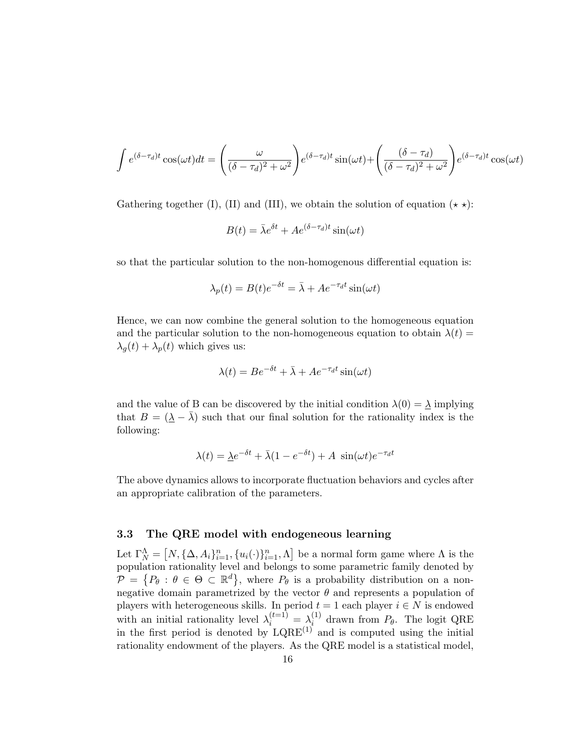$$
\int e^{(\delta-\tau_d)t} \cos(\omega t) dt = \left(\frac{\omega}{(\delta-\tau_d)^2 + \omega^2}\right) e^{(\delta-\tau_d)t} \sin(\omega t) + \left(\frac{(\delta-\tau_d)}{(\delta-\tau_d)^2 + \omega^2}\right) e^{(\delta-\tau_d)t} \cos(\omega t)
$$

Gathering together (I), (II) and (III), we obtain the solution of equation  $(\star \star)$ :

$$
B(t) = \bar{\lambda}e^{\delta t} + Ae^{(\delta - \tau_d)t} \sin(\omega t)
$$

so that the particular solution to the non-homogenous differential equation is:

$$
\lambda_p(t) = B(t)e^{-\delta t} = \bar{\lambda} + Ae^{-\tau_d t} \sin(\omega t)
$$

Hence, we can now combine the general solution to the homogeneous equation and the particular solution to the non-homogeneous equation to obtain  $\lambda(t)$  =  $\lambda_q(t) + \lambda_p(t)$  which gives us:

$$
\lambda(t) = Be^{-\delta t} + \bar{\lambda} + Ae^{-\tau_d t} \sin(\omega t)
$$

and the value of B can be discovered by the initial condition  $\lambda(0) = \lambda$  implying that  $B = (\lambda - \overline{\lambda})$  such that our final solution for the rationality index is the following:

$$
\lambda(t) = \underline{\lambda}e^{-\delta t} + \bar{\lambda}(1 - e^{-\delta t}) + A \sin(\omega t)e^{-\tau_d t}
$$

The above dynamics allows to incorporate fluctuation behaviors and cycles after an appropriate calibration of the parameters.

# 3.3 The QRE model with endogeneous learning

Let  $\Gamma_N^{\Lambda} = [N, {\{\Delta, A_i\}}_{i=1}^n, {u_i(\cdot)\}}_{i=1}^n, \Lambda]$  be a normal form game where  $\Lambda$  is the population rationality level and belongs to some parametric family denoted by  $\mathcal{P} = \{P_{\theta} : \theta \in \Theta \subset \mathbb{R}^d\},\$  where  $P_{\theta}$  is a probability distribution on a nonnegative domain parametrized by the vector  $\theta$  and represents a population of players with heterogeneous skills. In period  $t = 1$  each player  $i \in N$  is endowed with an initial rationality level  $\lambda_i^{(t=1)} = \lambda_i^{(1)}$  $i^{(1)}$  drawn from  $P_{\theta}$ . The logit QRE in the first period is denoted by  $LQRE^{(1)}$  and is computed using the initial rationality endowment of the players. As the QRE model is a statistical model,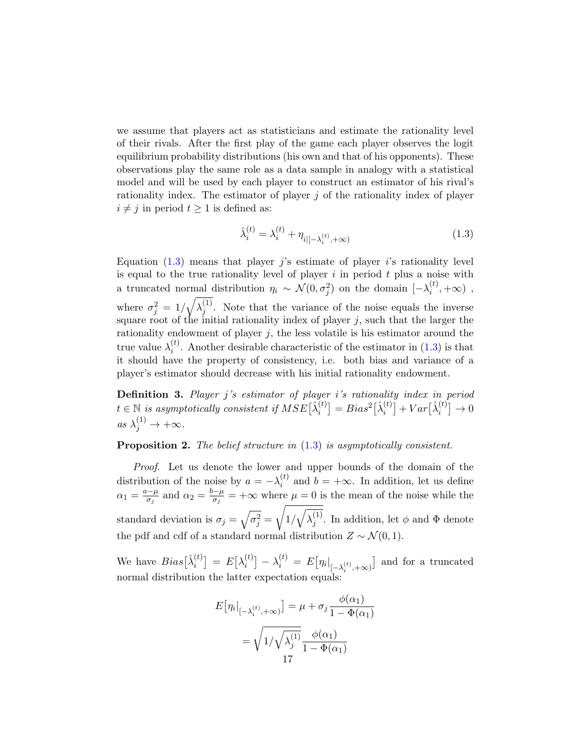we assume that players act as statisticians and estimate the rationality level of their rivals. After the first play of the game each player observes the logit equilibrium probability distributions (his own and that of his opponents). These observations play the same role as a data sample in analogy with a statistical model and will be used by each player to construct an estimator of his rival's rationality index. The estimator of player  $j$  of the rationality index of player  $i \neq j$  in period  $t \geq 1$  is defined as:

<span id="page-18-0"></span>
$$
\hat{\lambda}_i^{(t)} = \lambda_i^{(t)} + \eta_{i|[-\lambda_i^{(t)}, +\infty)} \tag{1.3}
$$

Equation  $(1.3)$  means that player j's estimate of player i's rationality level is equal to the true rationality level of player  $i$  in period  $t$  plus a noise with a truncated normal distribution  $\eta_i \sim \mathcal{N}(0, \sigma_j^2)$  on the domain  $[-\lambda_i^{(t)}]$  $i^{(\iota)},+\infty)$ , where  $\sigma_j^2 = 1/\sqrt{\lambda_j^{(1)}}$  $j^{(1)}$ . Note that the variance of the noise equals the inverse square root of the initial rationality index of player  $j$ , such that the larger the rationality endowment of player  $j$ , the less volatile is his estimator around the true value  $\lambda_i^{(t)}$  $i<sup>(t)</sup>$ . Another desirable characteristic of the estimator in  $(1.3)$  is that it should have the property of consistency, i.e. both bias and variance of a player's estimator should decrease with his initial rationality endowment.

**Definition 3.** Player j's estimator of player i's rationality index in period  $t \in \mathbb{N}$  is asymptotically consistent if  $MSE[\hat{\lambda}_i^{(t)}]$  $\left[ \begin{smallmatrix} (t)\ i \end{smallmatrix} \right] = Bias^2\big[\hat{\lambda}_i^{(t)}\big]$  $\binom{t}{i}$  + Var $\big[\hat{\lambda}_i^{(t)}\big]$  $\binom{t}{i} \rightarrow 0$ as  $\lambda_j^{(1)} \to +\infty$ .

## **Proposition 2.** The belief structure in  $(1.3)$  is asymptotically consistent.

Proof. Let us denote the lower and upper bounds of the domain of the distribution of the noise by  $a = -\lambda_i^{(t)}$  $i_i^{(t)}$  and  $b = +\infty$ . In addition, let us define  $\alpha_1 = \frac{a - \mu}{\sigma_i}$  $\frac{\alpha_i - \mu}{\sigma_j}$  and  $\alpha_2 = \frac{b - \mu}{\sigma_j}$  $\frac{\partial - \mu}{\partial f} = +\infty$  where  $\mu = 0$  is the mean of the noise while the standard deviation is  $\sigma_j = \sqrt{\sigma_j^2} =$ <sup>1</sup>  $1/\sqrt{\lambda_i^{(1)}}$  $j^{(1)}$ . In addition, let  $\phi$  and  $\Phi$  denote the pdf and cdf of a standard normal distribution  $Z \sim \mathcal{N}(0, 1)$ .

We have  $Bias[\hat{\lambda}_i^{(t)}]$  $\left[ t^{\left( t\right) }\right] \,=\,E\bigl[\lambda_{i}^{\left( t\right) }% ,\lambda_{i}^{\left( t\right) }\bigr] \label{eq-qt:}%$  $\begin{bmatrix} a^{(t)} \end{bmatrix} - \lambda_i^{(t)} = E\big[\eta_i\big|_{[-\lambda_i^{(t)}, +\infty)}\big]$  and for a truncated normal distribution the latter expectation equals:

$$
E\big[\eta_i\big|_{[-\lambda_i^{(t)},+\infty)}\big] = \mu + \sigma_j \frac{\phi(\alpha_1)}{1 - \Phi(\alpha_1)}
$$

$$
= \sqrt{1/\sqrt{\lambda_j^{(1)}} \frac{\phi(\alpha_1)}{1 - \Phi(\alpha_1)}}
$$
17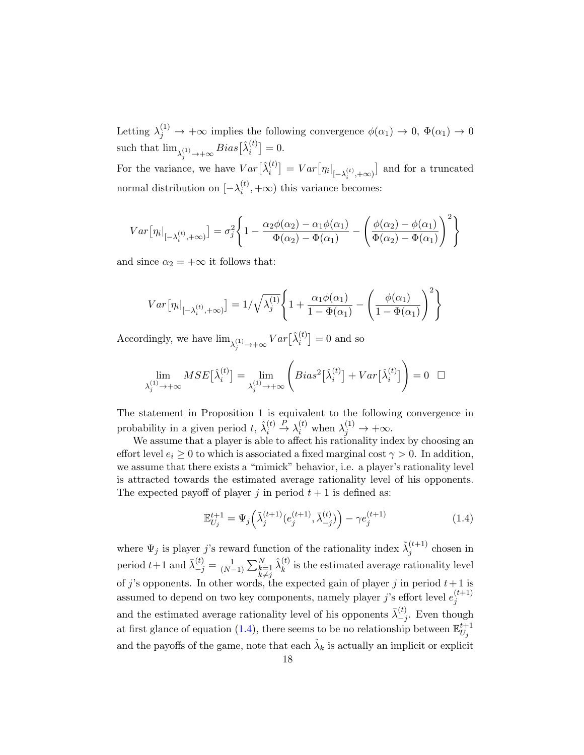Letting  $\lambda_j^{(1)} \to +\infty$  implies the following convergence  $\phi(\alpha_1) \to 0$ ,  $\Phi(\alpha_1) \to 0$ such that  $\lim_{\lambda_j^{(1)} \to +\infty} Bias[\hat{\lambda}_i^{(t)}]$  $\binom{t}{i} = 0.$ 

For the variance, we have  $Var\left[\hat{\lambda}_i^{(t)}\right]$  $\begin{bmatrix} u^{(t)} \\ i \end{bmatrix} = Var\big[\eta_i\big|_{[-\lambda_i^{(t)},+\infty)}\big]$  and for a truncated normal distribution on  $[-\lambda_i^{(t)}]$  $i^{(l)}$ ,  $+\infty$ ) this variance becomes:

$$
Var\big[\eta_i\big|_{[-\lambda_i^{(t)},+\infty)}\big] = \sigma_j^2 \left\{ 1 - \frac{\alpha_2 \phi(\alpha_2) - \alpha_1 \phi(\alpha_1)}{\Phi(\alpha_2) - \Phi(\alpha_1)} - \left(\frac{\phi(\alpha_2) - \phi(\alpha_1)}{\Phi(\alpha_2) - \Phi(\alpha_1)}\right)^2 \right\}
$$

and since  $\alpha_2 = +\infty$  it follows that:

$$
Var\left[\eta_i\big|_{[-\lambda_i^{(t)},+\infty)}\right] = 1/\sqrt{\lambda_j^{(1)}} \left\{ 1 + \frac{\alpha_1 \phi(\alpha_1)}{1 - \Phi(\alpha_1)} - \left(\frac{\phi(\alpha_1)}{1 - \Phi(\alpha_1)}\right)^2 \right\}
$$

Accordingly, we have  $\lim_{\lambda_j^{(1)} \to +\infty} Var\left[\hat{\lambda}_i^{(t)}\right]$  $i^{(t)}$  = 0 and so

$$
\lim_{\lambda_j^{(1)} \to +\infty} MSE[\hat{\lambda}_i^{(t)}] = \lim_{\lambda_j^{(1)} \to +\infty} \left(Bias^2[\hat{\lambda}_i^{(t)}] + Var[\hat{\lambda}_i^{(t)}]\right) = 0 \quad \Box
$$

The statement in Proposition 1 is equivalent to the following convergence in probability in a given period  $t, \hat{\lambda}_i^{(t)}$ i  $\stackrel{P}{\to} \lambda_i^{(t)}$  when  $\lambda_j^{(1)} \to +\infty$ .

We assume that a player is able to affect his rationality index by choosing an effort level  $e_i \geq 0$  to which is associated a fixed marginal cost  $\gamma > 0$ . In addition, we assume that there exists a "mimick" behavior, i.e. a player's rationality level is attracted towards the estimated average rationality level of his opponents. The expected payoff of player j in period  $t + 1$  is defined as:

<span id="page-19-0"></span>
$$
\mathbb{E}_{U_j}^{t+1} = \Psi_j\left(\tilde{\lambda}_j^{(t+1)}(e_j^{(t+1)}, \bar{\lambda}_{-j}^{(t)})\right) - \gamma e_j^{(t+1)}
$$
(1.4)

where  $\Psi_j$  is player j's reward function of the rationality index  $\tilde{\lambda}_i^{(t+1)}$  $j^{(l+1)}$  chosen in period  $t+1$  and  $\bar{\lambda}_{-j}^{(t)} = \frac{1}{(N-1)^2}$  $\frac{1}{(N-1)}\sum_{\substack{k=1 \ k \neq j}}^N$  $\hat{\lambda}_k^{(t)}$  $\binom{t}{k}$  is the estimated average rationality level of j's opponents. In other words, the expected gain of player j in period  $t+1$  is assumed to depend on two key components, namely player j's effort level  $e_i^{(t+1)}$ j and the estimated average rationality level of his opponents  $\bar{\lambda}_{-i}^{(t)}$  $\binom{v}{-j}$ . Even though at first glance of equation [\(1.4\)](#page-19-0), there seems to be no relationship between  $\mathbb{E}_{U}^{t+1}$  $U_j$ and the payoffs of the game, note that each  $\hat{\lambda}_k$  is actually an implicit or explicit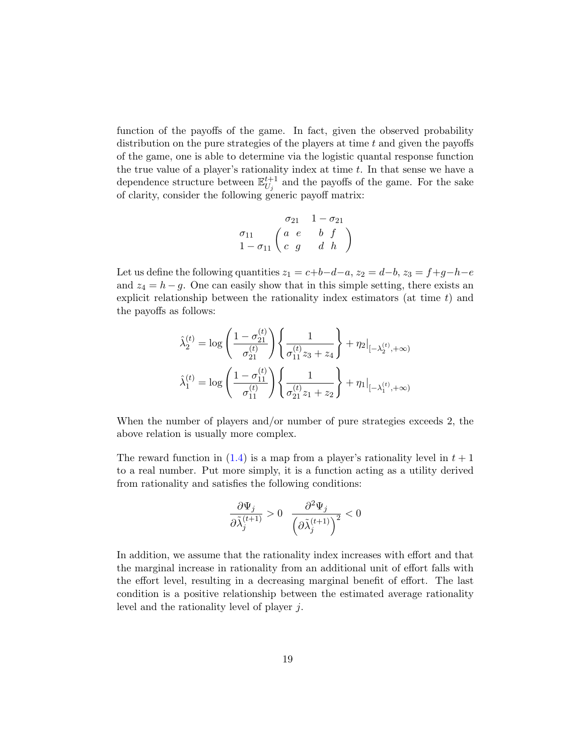function of the payoffs of the game. In fact, given the observed probability distribution on the pure strategies of the players at time  $t$  and given the payoffs of the game, one is able to determine via the logistic quantal response function the true value of a player's rationality index at time  $t$ . In that sense we have a dependence structure between  $\mathbb{E}^{t+1}_{U}$  $U_j^{t+1}$  and the payoffs of the game. For the sake of clarity, consider the following generic payoff matrix:

$$
\sigma_{11} \n\sigma_{21} \n1 - \sigma_{21} \n1 - \sigma_{11} \n\begin{pmatrix} a & e & b & f \\ c & g & d & h \end{pmatrix}
$$

Let us define the following quantities  $z_1 = c+b-d-a$ ,  $z_2 = d-b$ ,  $z_3 = f+g-h-e$ and  $z_4 = h - g$ . One can easily show that in this simple setting, there exists an explicit relationship between the rationality index estimators (at time  $t$ ) and the payoffs as follows:

$$
\hat{\lambda}_2^{(t)} = \log \left( \frac{1 - \sigma_{21}^{(t)}}{\sigma_{21}^{(t)}} \right) \left\{ \frac{1}{\sigma_{11}^{(t)} z_3 + z_4} \right\} + \eta_2 \big|_{[-\lambda_2^{(t)}, +\infty)}
$$
\n
$$
\hat{\lambda}_1^{(t)} = \log \left( \frac{1 - \sigma_{11}^{(t)}}{\sigma_{11}^{(t)}} \right) \left\{ \frac{1}{\sigma_{21}^{(t)} z_1 + z_2} \right\} + \eta_1 \big|_{[-\lambda_1^{(t)}, +\infty)}
$$

When the number of players and/or number of pure strategies exceeds 2, the above relation is usually more complex.

The reward function in  $(1.4)$  is a map from a player's rationality level in  $t + 1$ to a real number. Put more simply, it is a function acting as a utility derived from rationality and satisfies the following conditions:

$$
\frac{\partial \Psi_j}{\partial \tilde{\lambda}_j^{(t+1)}} > 0 \quad \frac{\partial^2 \Psi_j}{\left(\partial \tilde{\lambda}_j^{(t+1)}\right)^2} < 0
$$

In addition, we assume that the rationality index increases with effort and that the marginal increase in rationality from an additional unit of effort falls with the effort level, resulting in a decreasing marginal benefit of effort. The last condition is a positive relationship between the estimated average rationality level and the rationality level of player j.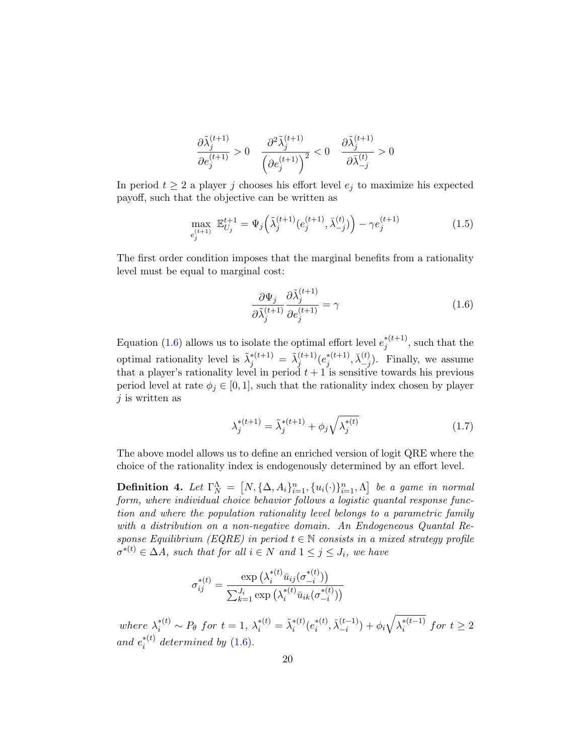$$
\frac{\partial \tilde{\lambda}^{(t+1)}_j}{\partial e^{(t+1)}_j} > 0 \quad \frac{\partial^2 \tilde{\lambda}^{(t+1)}_j}{\left(\partial e^{(t+1)}_j\right)^2} < 0 \quad \frac{\partial \tilde{\lambda}^{(t+1)}_j}{\partial \bar{\lambda}^{(t)}_{-j}} > 0
$$

In period  $t \geq 2$  a player j chooses his effort level  $e_i$  to maximize his expected payoff, such that the objective can be written as

$$
\max_{e_j^{(t+1)}} \mathbb{E}_{U_j}^{t+1} = \Psi_j\left(\tilde{\lambda}_j^{(t+1)}(e_j^{(t+1)}, \bar{\lambda}_{-j}^{(t)})\right) - \gamma e_j^{(t+1)} \tag{1.5}
$$

The first order condition imposes that the marginal benefits from a rationality level must be equal to marginal cost:

<span id="page-21-0"></span>
$$
\frac{\partial \Psi_j}{\partial \tilde{\lambda}_j^{(t+1)}} \frac{\partial \tilde{\lambda}_j^{(t+1)}}{\partial e_j^{(t+1)}} = \gamma \tag{1.6}
$$

Equation [\(1.6\)](#page-21-0) allows us to isolate the optimal effort level  $e_i^{*(t+1)}$  $j^{*(t+1)}$ , such that the optimal rationality level is  $\tilde{\lambda}_j^{*(t+1)} = \tilde{\lambda}_j^{(t+1)}$  $j^{(t+1)}(e_j^{*(t+1)}$  $_{j}^{*(t+1)}, \bar{\lambda}_{-j}^{(t)}$  $\binom{v}{-j}$ . Finally, we assume that a player's rationality level in period  $t + 1$  is sensitive towards his previous period level at rate  $\phi_j \in [0, 1]$ , such that the rationality index chosen by player  $j$  is written as

$$
\lambda_j^{*(t+1)} = \tilde{\lambda}_j^{*(t+1)} + \phi_j \sqrt{\lambda_j^{*(t)}} \tag{1.7}
$$

The above model allows us to define an enriched version of logit QRE where the choice of the rationality index is endogenously determined by an effort level.

**Definition 4.** Let  $\Gamma^{\Lambda}_{N} = [N, {\{\Delta, A_i\}}_{i=1}^{n}, {u_i(\cdot)}_{i=1}^{n}, \Lambda]$  be a game in normal form, where individual choice behavior follows a logistic quantal response function and where the population rationality level belongs to a parametric family with a distribution on a non-negative domain. An Endogeneous Quantal Response Equilibrium (EQRE) in period  $t \in \mathbb{N}$  consists in a mixed strategy profile  $\sigma^{*(t)} \in \Delta A$ , such that for all  $i \in N$  and  $1 \leq j \leq J_i$ , we have

$$
\sigma_{ij}^{*(t)} = \frac{\exp\left(\lambda_i^{*(t)} \bar{u}_{ij}(\sigma_{-i}^{*(t)})\right)}{\sum_{k=1}^{J_i} \exp\left(\lambda_i^{*(t)} \bar{u}_{ik}(\sigma_{-i}^{*(t)})\right)}
$$

where  $\lambda_i^{*(t)} \sim P_\theta$  for  $t = 1$ ,  $\lambda_i^{*(t)} = \tilde{\lambda}_i^{*(t)}$  $i^{*(t)}(e_i^{*(t)})$  $_{i}^{*(t)}, \bar{\lambda}_{-i}^{(t-1)}$  $\binom{(t-1)}{-i} + \phi_i \sqrt{\lambda_i^{*(t-1)}}$  $\int_i^{*(t-1)}$  for  $t \geq 2$ and  $e_i^{*(t)}$  determined by [\(1.6\)](#page-21-0).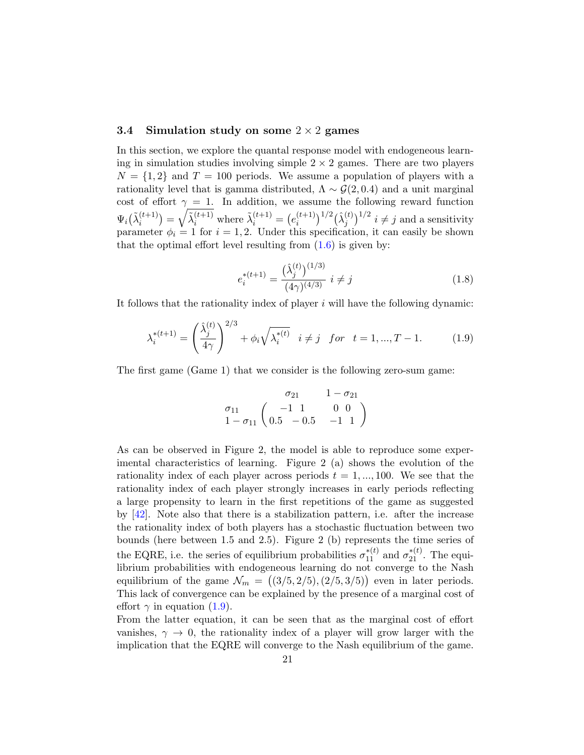## 3.4 Simulation study on some  $2 \times 2$  games

In this section, we explore the quantal response model with endogeneous learning in simulation studies involving simple  $2 \times 2$  games. There are two players  $N = \{1, 2\}$  and  $T = 100$  periods. We assume a population of players with a rationality level that is gamma distributed,  $\Lambda \sim \mathcal{G}(2, 0.4)$  and a unit marginal cost of effort  $\gamma = 1$ . In addition, we assume the following reward function  $\Psi_i(\tilde{\lambda}_i^{(t+1)})$  $\binom{(t+1)}{i} = \sqrt{\tilde{\lambda}_i^{(t+1)}}$  where  $\tilde{\lambda}_i^{(t+1)} = (e_i^{(t+1)})$  $\binom{(t+1)}{i}^{1/2}$   $\binom{\hat{\lambda}^{(t)}_j}{\,}$  $\binom{t}{j}^{1/2}$   $i \neq j$  and a sensitivity parameter  $\phi_i = 1$  for  $i = 1, 2$ . Under this specification, it can easily be shown that the optimal effort level resulting from  $(1.6)$  is given by:

<span id="page-22-0"></span>
$$
e_i^{*(t+1)} = \frac{(\hat{\lambda}_j^{(t)})^{(1/3)}}{(4\gamma)^{(4/3)}} \ i \neq j \tag{1.8}
$$

It follows that the rationality index of player  $i$  will have the following dynamic:

$$
\lambda_i^{*(t+1)} = \left(\frac{\hat{\lambda}_j^{(t)}}{4\gamma}\right)^{2/3} + \phi_i \sqrt{\lambda_i^{*(t)}} \quad i \neq j \quad \text{for} \quad t = 1, ..., T - 1. \tag{1.9}
$$

The first game (Game 1) that we consider is the following zero-sum game:

$$
\begin{array}{cc}\n\sigma_{21} & 1 - \sigma_{21} \\
\sigma_{11} & -11 & 0 & 0 \\
1 - \sigma_{11} & 0.5 & -0.5 & -1 & 1\n\end{array}
$$

As can be observed in Figure 2, the model is able to reproduce some experimental characteristics of learning. Figure 2 (a) shows the evolution of the rationality index of each player across periods  $t = 1, ..., 100$ . We see that the rationality index of each player strongly increases in early periods reflecting a large propensity to learn in the first repetitions of the game as suggested by [\[42\]](#page-33-1). Note also that there is a stabilization pattern, i.e. after the increase the rationality index of both players has a stochastic fluctuation between two bounds (here between 1.5 and 2.5). Figure 2 (b) represents the time series of the EQRE, i.e. the series of equilibrium probabilities  $\sigma_{11}^{*(t)}$  and  $\sigma_{21}^{*(t)}$ . The equilibrium probabilities with endogeneous learning do not converge to the Nash equilibrium of the game  $\mathcal{N}_m = ((3/5, 2/5), (2/5, 3/5))$  even in later periods. This lack of convergence can be explained by the presence of a marginal cost of effort  $\gamma$  in equation [\(1.9\)](#page-22-0).

From the latter equation, it can be seen that as the marginal cost of effort vanishes,  $\gamma \rightarrow 0$ , the rationality index of a player will grow larger with the implication that the EQRE will converge to the Nash equilibrium of the game.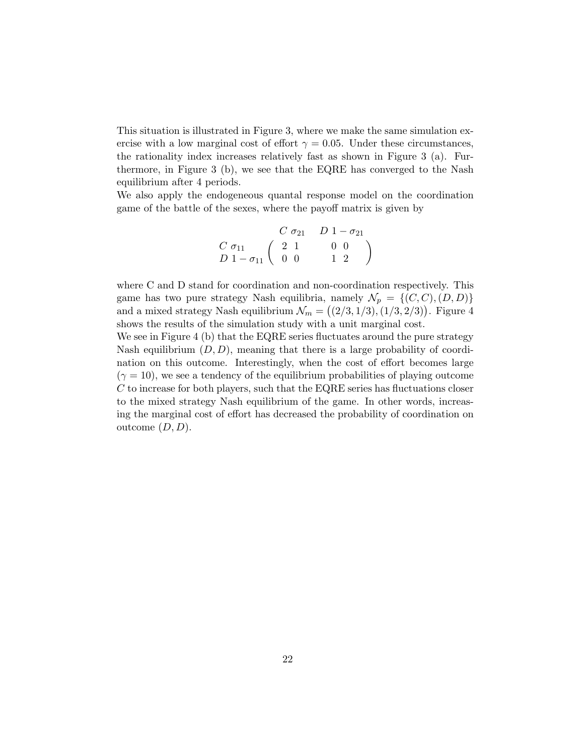This situation is illustrated in Figure 3, where we make the same simulation exercise with a low marginal cost of effort  $\gamma = 0.05$ . Under these circumstances, the rationality index increases relatively fast as shown in Figure 3 (a). Furthermore, in Figure 3 (b), we see that the EQRE has converged to the Nash equilibrium after 4 periods.

We also apply the endogeneous quantal response model on the coordination game of the battle of the sexes, where the payoff matrix is given by

$$
\left(\begin{array}{ccc} & C & \sigma_{21} & D & 1-\sigma_{21} \\ C & \sigma_{11} & \left(\begin{array}{ccc} 2 & 1 & & 0 & 0 \\ 0 & 0 & & 1 & 2 \end{array}\right) \end{array}\right)
$$

where C and D stand for coordination and non-coordination respectively. This game has two pure strategy Nash equilibria, namely  $\mathcal{N}_p = \{ (C, C), (D, D) \}$ and a mixed strategy Nash equilibrium  $\mathcal{N}_m = ((2/3, 1/3), (1/3, 2/3))$ . Figure 4 shows the results of the simulation study with a unit marginal cost.

We see in Figure 4 (b) that the EQRE series fluctuates around the pure strategy Nash equilibrium  $(D, D)$ , meaning that there is a large probability of coordination on this outcome. Interestingly, when the cost of effort becomes large  $(\gamma = 10)$ , we see a tendency of the equilibrium probabilities of playing outcome  $C$  to increase for both players, such that the EQRE series has fluctuations closer to the mixed strategy Nash equilibrium of the game. In other words, increasing the marginal cost of effort has decreased the probability of coordination on outcome  $(D, D)$ .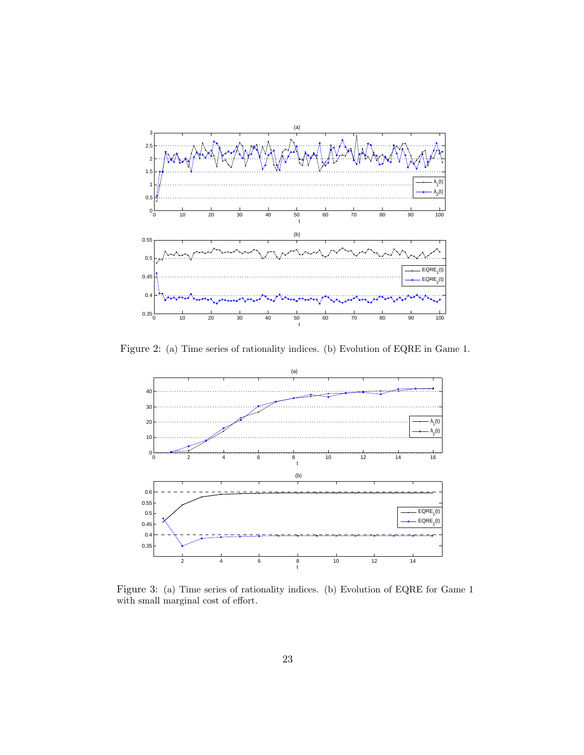

Figure 2: (a) Time series of rationality indices. (b) Evolution of EQRE in Game 1.



Figure 3: (a) Time series of rationality indices. (b) Evolution of EQRE for Game 1 with small marginal cost of effort.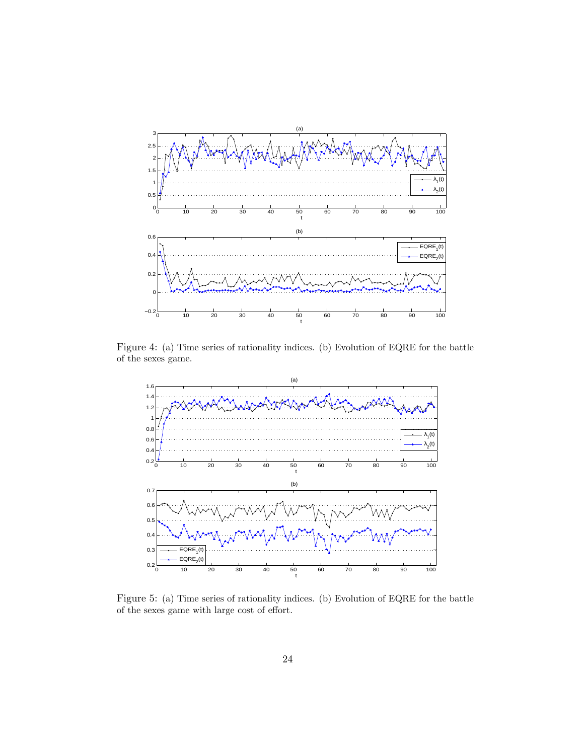

Figure 4: (a) Time series of rationality indices. (b) Evolution of EQRE for the battle of the sexes game.



Figure 5: (a) Time series of rationality indices. (b) Evolution of EQRE for the battle of the sexes game with large cost of effort.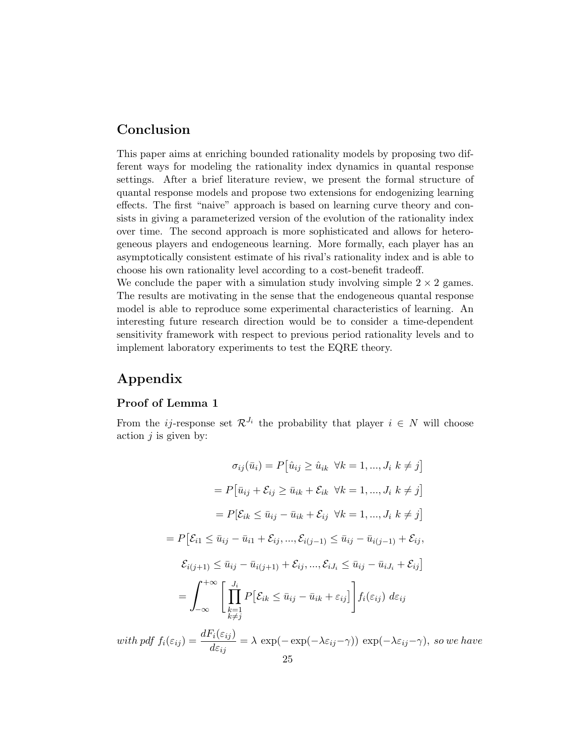# Conclusion

This paper aims at enriching bounded rationality models by proposing two different ways for modeling the rationality index dynamics in quantal response settings. After a brief literature review, we present the formal structure of quantal response models and propose two extensions for endogenizing learning effects. The first "naive" approach is based on learning curve theory and consists in giving a parameterized version of the evolution of the rationality index over time. The second approach is more sophisticated and allows for heterogeneous players and endogeneous learning. More formally, each player has an asymptotically consistent estimate of his rival's rationality index and is able to choose his own rationality level according to a cost-benefit tradeoff.

We conclude the paper with a simulation study involving simple  $2 \times 2$  games. The results are motivating in the sense that the endogeneous quantal response model is able to reproduce some experimental characteristics of learning. An interesting future research direction would be to consider a time-dependent sensitivity framework with respect to previous period rationality levels and to implement laboratory experiments to test the EQRE theory.

# Appendix

# Proof of Lemma 1

From the *i*-response set  $\mathcal{R}^{J_i}$  the probability that player  $i \in N$  will choose action  $j$  is given by:

$$
\sigma_{ij}(\bar{u}_i) = P\big[\hat{u}_{ij} \ge \hat{u}_{ik} \ \forall k = 1, ..., J_i \ k \ne j\big]
$$

$$
= P\big[\bar{u}_{ij} + \mathcal{E}_{ij} \ge \bar{u}_{ik} + \mathcal{E}_{ik} \ \forall k = 1, ..., J_i \ k \ne j\big]
$$

$$
= P[\mathcal{E}_{ik} \le \bar{u}_{ij} - \bar{u}_{ik} + \mathcal{E}_{ij} \ \forall k = 1, ..., J_i \ k \ne j\big]
$$

$$
= P\big[\mathcal{E}_{i1} \le \bar{u}_{ij} - \bar{u}_{i1} + \mathcal{E}_{ij}, ..., \mathcal{E}_{i(j-1)} \le \bar{u}_{ij} - \bar{u}_{i(j-1)} + \mathcal{E}_{ij},
$$

$$
\mathcal{E}_{i(j+1)} \le \bar{u}_{ij} - \bar{u}_{i(j+1)} + \mathcal{E}_{ij}, ..., \mathcal{E}_{iJ_i} \le \bar{u}_{ij} - \bar{u}_{iJ_i} + \mathcal{E}_{ij}\big]
$$

$$
= \int_{-\infty}^{+\infty} \left[\prod_{\substack{k=1 \ k \ne j}}^{J_i} P\big[\mathcal{E}_{ik} \le \bar{u}_{ij} - \bar{u}_{ik} + \varepsilon_{ij}\big]\right] f_i(\varepsilon_{ij}) \ d\varepsilon_{ij}
$$

with pdf  $f_i(\varepsilon_{ij}) = \frac{dF_i(\varepsilon_{ij})}{d\varepsilon_{ij}} = \lambda \exp(-\exp(-\lambda \varepsilon_{ij} - \gamma)) \exp(-\lambda \varepsilon_{ij} - \gamma)$ , so we have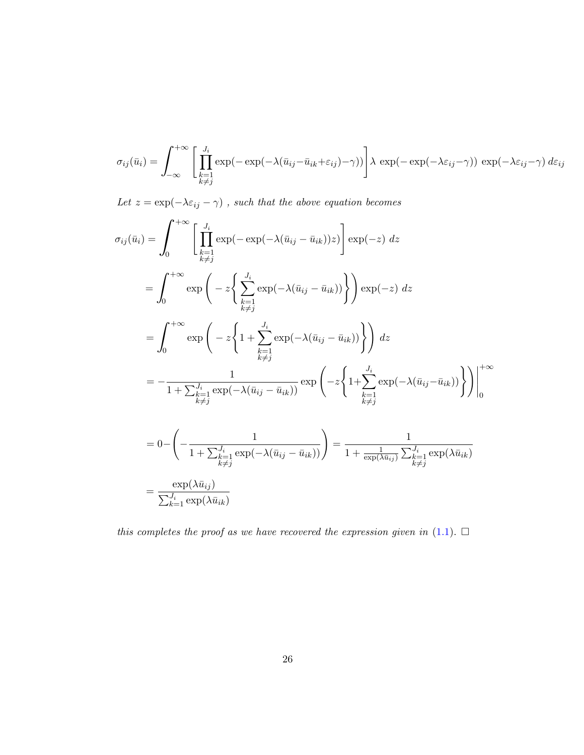$$
\sigma_{ij}(\bar{u}_i) = \int_{-\infty}^{+\infty} \left[ \prod_{\substack{k=1\\k\neq j}}^{J_i} \exp(-\exp(-\lambda(\bar{u}_{ij}-\bar{u}_{ik}+\varepsilon_{ij})-\gamma)) \right] \lambda \exp(-\exp(-\lambda\varepsilon_{ij}-\gamma)) \exp(-\lambda\varepsilon_{ij}-\gamma) d\varepsilon_{ij}
$$

Let  $z=\exp(-\lambda \varepsilon_{ij}-\gamma)$  , such that the above equation becomes

$$
\sigma_{ij}(\bar{u}_i) = \int_0^{+\infty} \left[ \prod_{\substack{k=1 \ k \neq j}}^{J_i} \exp(-\exp(-\lambda(\bar{u}_{ij} - \bar{u}_{ik}))z) \right] \exp(-z) dz
$$
  
\n
$$
= \int_0^{+\infty} \exp\left(-z \left\{ \sum_{\substack{k=1 \ k \neq j}}^{J_i} \exp(-\lambda(\bar{u}_{ij} - \bar{u}_{ik})) \right\} \right) \exp(-z) dz
$$
  
\n
$$
= \int_0^{+\infty} \exp\left(-z \left\{ 1 + \sum_{\substack{k=1 \ k \neq j}}^{J_i} \exp(-\lambda(\bar{u}_{ij} - \bar{u}_{ik})) \right\} \right) dz
$$
  
\n
$$
= -\frac{1}{1 + \sum_{\substack{k=1 \ k \neq j}}^{J_i} \exp(-\lambda(\bar{u}_{ij} - \bar{u}_{ik}))} \exp\left(-z \left\{ 1 + \sum_{\substack{k=1 \ k \neq j}}^{J_i} \exp(-\lambda(\bar{u}_{ij} - \bar{u}_{ik})) \right\} \right) \Big|_0^{+\infty}
$$
  
\n
$$
= 0 - \left( -\frac{1}{1 + \sum_{\substack{k=1 \ k \neq j}}^{J_i} \exp(-\lambda(\bar{u}_{ij} - \bar{u}_{ik}))} \right) = \frac{1}{1 + \frac{1}{\exp(\lambda \bar{u}_{ij})} \sum_{\substack{k=1 \ k \neq j}}^{J_i} \exp(\lambda \bar{u}_{ik})}
$$
  
\n
$$
= \frac{\exp(\lambda \bar{u}_{ij})}{\sum_{k=1}^{J_i} \exp(\lambda \bar{u}_{ik})}
$$

this completes the proof as we have recovered the expression given in [\(1.1\)](#page-11-0).  $\Box$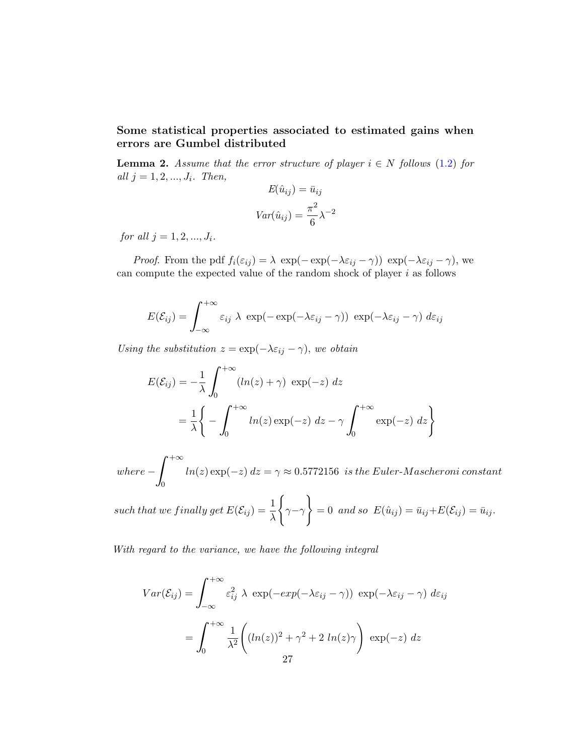Some statistical properties associated to estimated gains when errors are Gumbel distributed

**Lemma 2.** Assume that the error structure of player  $i \in N$  follows [\(1.2\)](#page-11-2) for all  $j = 1, 2, ..., J_i$ . Then,

$$
E(\hat{u}_{ij}) = \bar{u}_{ij}
$$

$$
Var(\hat{u}_{ij}) = \frac{\pi^2}{6}\lambda^{-2}
$$

for all  $j = 1, 2, ..., J_i$ .

*Proof.* From the pdf  $f_i(\varepsilon_{ij}) = \lambda \exp(-\exp(-\lambda \varepsilon_{ij} - \gamma)) \exp(-\lambda \varepsilon_{ij} - \gamma)$ , we can compute the expected value of the random shock of player  $i$  as follows

$$
E(\mathcal{E}_{ij}) = \int_{-\infty}^{+\infty} \varepsilon_{ij} \lambda \exp(-\exp(-\lambda \varepsilon_{ij} - \gamma)) \exp(-\lambda \varepsilon_{ij} - \gamma) d\varepsilon_{ij}
$$

Using the substitution  $z = \exp(-\lambda \varepsilon_{ij} - \gamma)$ , we obtain

$$
E(\mathcal{E}_{ij}) = -\frac{1}{\lambda} \int_0^{+\infty} (ln(z) + \gamma) \exp(-z) dz
$$
  
=  $\frac{1}{\lambda} \left\{ -\int_0^{+\infty} ln(z) \exp(-z) dz - \gamma \int_0^{+\infty} exp(-z) dz \right\}$ 

 $where \int^{+\infty}$  $\overline{0}$  $ln(z) \exp(-z) dz = \gamma \approx 0.5772156$  is the Euler-Mascheroni constant

such that we finally get  $E(\mathcal{E}_{ij}) = \frac{1}{\lambda}$  $\int$  $\gamma-\gamma$  $\mathcal{L}$  $= 0$  and so  $E(\hat{u}_{ij}) = \bar{u}_{ij} + E(\mathcal{E}_{ij}) = \bar{u}_{ij}.$ 

With regard to the variance, we have the following integral

$$
Var(\mathcal{E}_{ij}) = \int_{-\infty}^{+\infty} \varepsilon_{ij}^2 \lambda \exp(-\exp(-\lambda \varepsilon_{ij} - \gamma)) \exp(-\lambda \varepsilon_{ij} - \gamma) d\varepsilon_{ij}
$$

$$
= \int_0^{+\infty} \frac{1}{\lambda^2} \left( (\ln(z))^2 + \gamma^2 + 2 \ln(z)\gamma \right) \exp(-z) dz
$$
27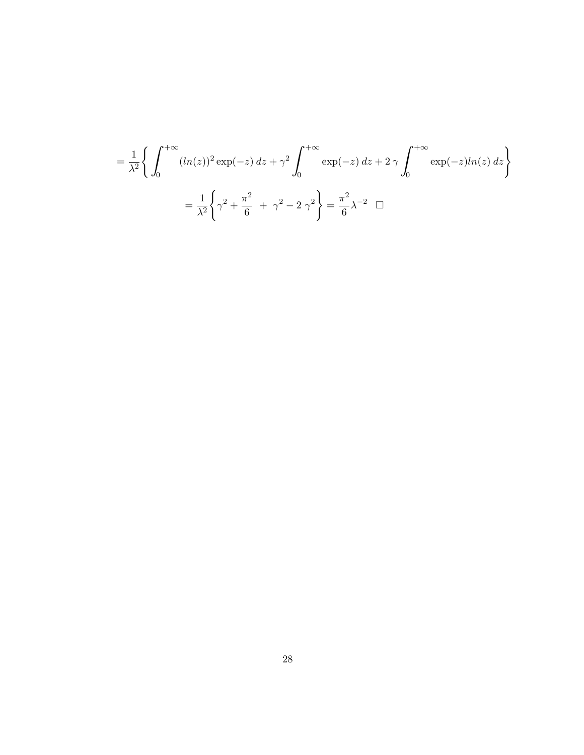$$
= \frac{1}{\lambda^2} \left\{ \int_0^{+\infty} (\ln(z))^2 \exp(-z) \, dz + \gamma^2 \int_0^{+\infty} \exp(-z) \, dz + 2 \gamma \int_0^{+\infty} \exp(-z) \ln(z) \, dz \right\}
$$

$$
= \frac{1}{\lambda^2} \left\{ \gamma^2 + \frac{\pi^2}{6} + \gamma^2 - 2 \gamma^2 \right\} = \frac{\pi^2}{6} \lambda^{-2} \quad \Box
$$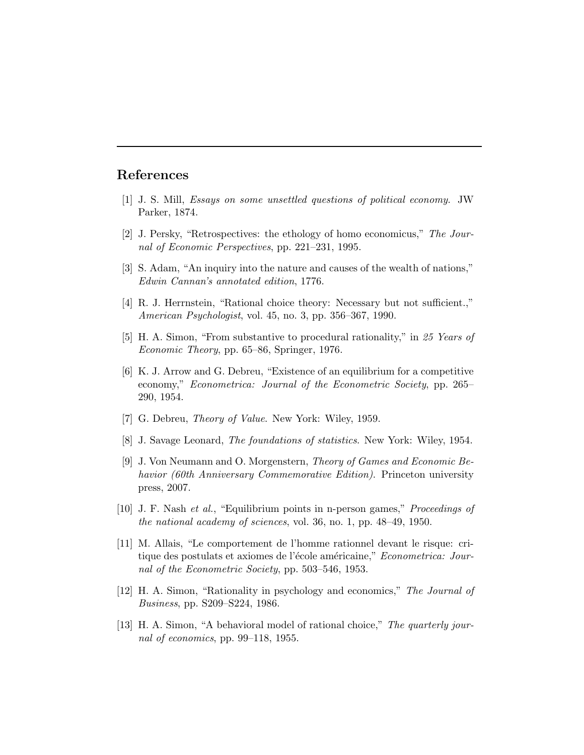# References

- <span id="page-30-0"></span>[1] J. S. Mill, Essays on some unsettled questions of political economy. JW Parker, 1874.
- <span id="page-30-1"></span>[2] J. Persky, "Retrospectives: the ethology of homo economicus," The Journal of Economic Perspectives, pp. 221–231, 1995.
- <span id="page-30-2"></span>[3] S. Adam, "An inquiry into the nature and causes of the wealth of nations," Edwin Cannan's annotated edition, 1776.
- <span id="page-30-3"></span>[4] R. J. Herrnstein, "Rational choice theory: Necessary but not sufficient.," American Psychologist, vol. 45, no. 3, pp. 356–367, 1990.
- <span id="page-30-4"></span>[5] H. A. Simon, "From substantive to procedural rationality," in 25 Years of Economic Theory, pp. 65–86, Springer, 1976.
- <span id="page-30-5"></span>[6] K. J. Arrow and G. Debreu, "Existence of an equilibrium for a competitive economy," Econometrica: Journal of the Econometric Society, pp. 265– 290, 1954.
- <span id="page-30-6"></span>[7] G. Debreu, Theory of Value. New York: Wiley, 1959.
- <span id="page-30-7"></span>[8] J. Savage Leonard, The foundations of statistics. New York: Wiley, 1954.
- <span id="page-30-8"></span>[9] J. Von Neumann and O. Morgenstern, Theory of Games and Economic Behavior (60th Anniversary Commemorative Edition). Princeton university press, 2007.
- <span id="page-30-9"></span>[10] J. F. Nash et al., "Equilibrium points in n-person games," Proceedings of the national academy of sciences, vol. 36, no. 1, pp. 48–49, 1950.
- <span id="page-30-10"></span>[11] M. Allais, "Le comportement de l'homme rationnel devant le risque: critique des postulats et axiomes de l'école américaine," Econometrica: Journal of the Econometric Society, pp. 503–546, 1953.
- <span id="page-30-11"></span>[12] H. A. Simon, "Rationality in psychology and economics," The Journal of Business, pp. S209–S224, 1986.
- <span id="page-30-12"></span>[13] H. A. Simon, "A behavioral model of rational choice," The quarterly journal of economics, pp. 99–118, 1955.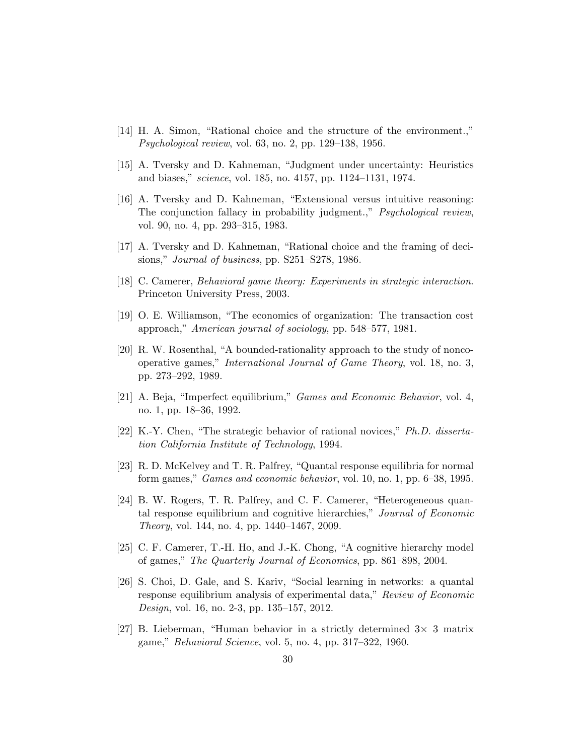- <span id="page-31-0"></span>[14] H. A. Simon, "Rational choice and the structure of the environment.," Psychological review, vol. 63, no. 2, pp. 129–138, 1956.
- <span id="page-31-1"></span>[15] A. Tversky and D. Kahneman, "Judgment under uncertainty: Heuristics and biases," science, vol. 185, no. 4157, pp. 1124–1131, 1974.
- <span id="page-31-2"></span>[16] A. Tversky and D. Kahneman, "Extensional versus intuitive reasoning: The conjunction fallacy in probability judgment.," Psychological review, vol. 90, no. 4, pp. 293–315, 1983.
- <span id="page-31-3"></span>[17] A. Tversky and D. Kahneman, "Rational choice and the framing of decisions," Journal of business, pp. S251–S278, 1986.
- <span id="page-31-4"></span>[18] C. Camerer, Behavioral game theory: Experiments in strategic interaction. Princeton University Press, 2003.
- <span id="page-31-5"></span>[19] O. E. Williamson, "The economics of organization: The transaction cost approach," American journal of sociology, pp. 548–577, 1981.
- <span id="page-31-6"></span>[20] R. W. Rosenthal, "A bounded-rationality approach to the study of noncooperative games," International Journal of Game Theory, vol. 18, no. 3, pp. 273–292, 1989.
- <span id="page-31-7"></span>[21] A. Beja, "Imperfect equilibrium," Games and Economic Behavior, vol. 4, no. 1, pp. 18–36, 1992.
- <span id="page-31-8"></span>[22] K.-Y. Chen, "The strategic behavior of rational novices," Ph.D. dissertation California Institute of Technology, 1994.
- <span id="page-31-9"></span>[23] R. D. McKelvey and T. R. Palfrey, "Quantal response equilibria for normal form games," Games and economic behavior, vol. 10, no. 1, pp. 6–38, 1995.
- <span id="page-31-10"></span>[24] B. W. Rogers, T. R. Palfrey, and C. F. Camerer, "Heterogeneous quantal response equilibrium and cognitive hierarchies," Journal of Economic Theory, vol. 144, no. 4, pp. 1440–1467, 2009.
- <span id="page-31-11"></span>[25] C. F. Camerer, T.-H. Ho, and J.-K. Chong, "A cognitive hierarchy model of games," The Quarterly Journal of Economics, pp. 861–898, 2004.
- <span id="page-31-12"></span>[26] S. Choi, D. Gale, and S. Kariv, "Social learning in networks: a quantal response equilibrium analysis of experimental data," Review of Economic Design, vol. 16, no. 2-3, pp. 135–157, 2012.
- <span id="page-31-13"></span>[27] B. Lieberman, "Human behavior in a strictly determined  $3 \times 3$  matrix game," Behavioral Science, vol. 5, no. 4, pp. 317–322, 1960.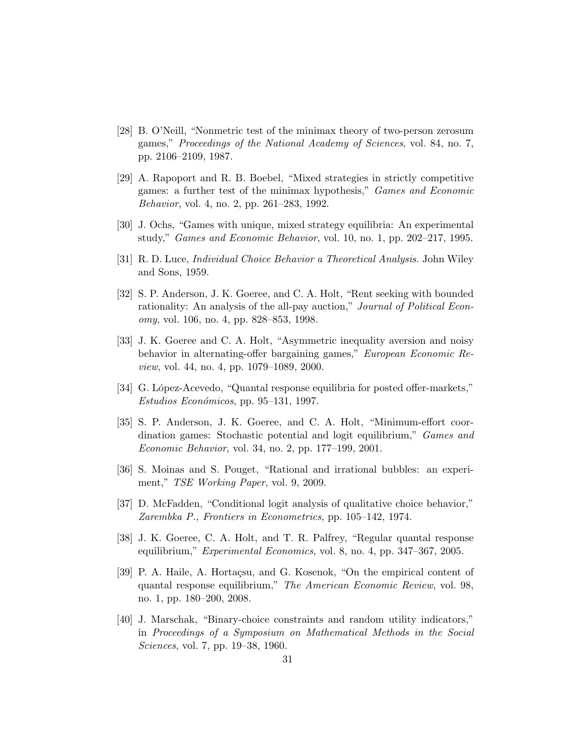- <span id="page-32-0"></span>[28] B. O'Neill, "Nonmetric test of the minimax theory of two-person zerosum games," Proceedings of the National Academy of Sciences, vol. 84, no. 7, pp. 2106–2109, 1987.
- <span id="page-32-1"></span>[29] A. Rapoport and R. B. Boebel, "Mixed strategies in strictly competitive games: a further test of the minimax hypothesis," Games and Economic Behavior, vol. 4, no. 2, pp. 261–283, 1992.
- <span id="page-32-2"></span>[30] J. Ochs, "Games with unique, mixed strategy equilibria: An experimental study," Games and Economic Behavior, vol. 10, no. 1, pp. 202–217, 1995.
- <span id="page-32-3"></span>[31] R. D. Luce, Individual Choice Behavior a Theoretical Analysis. John Wiley and Sons, 1959.
- <span id="page-32-4"></span>[32] S. P. Anderson, J. K. Goeree, and C. A. Holt, "Rent seeking with bounded rationality: An analysis of the all-pay auction," Journal of Political Economy, vol. 106, no. 4, pp. 828–853, 1998.
- <span id="page-32-5"></span>[33] J. K. Goeree and C. A. Holt, "Asymmetric inequality aversion and noisy behavior in alternating-offer bargaining games," European Economic Review, vol. 44, no. 4, pp. 1079–1089, 2000.
- <span id="page-32-6"></span>[34] G. López-Acevedo, "Quantal response equilibria for posted offer-markets,"  $Estudios Económicos$ , pp. 95–131, 1997.
- <span id="page-32-7"></span>[35] S. P. Anderson, J. K. Goeree, and C. A. Holt, "Minimum-effort coordination games: Stochastic potential and logit equilibrium," Games and Economic Behavior, vol. 34, no. 2, pp. 177–199, 2001.
- <span id="page-32-8"></span>[36] S. Moinas and S. Pouget, "Rational and irrational bubbles: an experiment," TSE Working Paper, vol. 9, 2009.
- <span id="page-32-9"></span>[37] D. McFadden, "Conditional logit analysis of qualitative choice behavior," Zarembka P., Frontiers in Econometrics, pp. 105–142, 1974.
- <span id="page-32-10"></span>[38] J. K. Goeree, C. A. Holt, and T. R. Palfrey, "Regular quantal response equilibrium," Experimental Economics, vol. 8, no. 4, pp. 347–367, 2005.
- <span id="page-32-11"></span>[39] P. A. Haile, A. Hortacsu, and G. Kosenok, "On the empirical content of quantal response equilibrium," The American Economic Review, vol. 98, no. 1, pp. 180–200, 2008.
- <span id="page-32-12"></span>[40] J. Marschak, "Binary-choice constraints and random utility indicators," in Proceedings of a Symposium on Mathematical Methods in the Social Sciences, vol. 7, pp. 19–38, 1960.